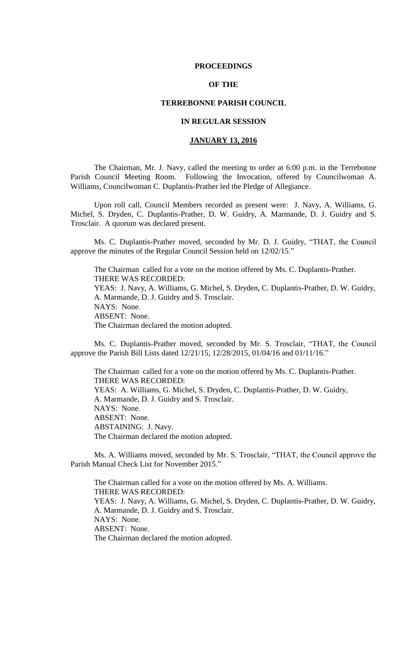### **PROCEEDINGS**

# **OF THE**

## **TERREBONNE PARISH COUNCIL**

# **IN REGULAR SESSION**

# **JANUARY 13, 2016**

The Chairman, Mr. J. Navy, called the meeting to order at 6:00 p.m. in the Terrebonne Parish Council Meeting Room. Following the Invocation, offered by Councilwoman A. Williams, Councilwoman C. Duplantis-Prather led the Pledge of Allegiance.

Upon roll call, Council Members recorded as present were: J. Navy, A. Williams, G. Michel, S. Dryden, C. Duplantis-Prather, D. W. Guidry, A. Marmande, D. J. Guidry and S. Trosclair. A quorum was declared present.

Ms. C. Duplantis-Prather moved, seconded by Mr. D. J. Guidry, "THAT, the Council approve the minutes of the Regular Council Session held on 12/02/15."

The Chairman called for a vote on the motion offered by Ms. C. Duplantis-Prather. THERE WAS RECORDED: YEAS: J. Navy, A. Williams, G. Michel, S. Dryden, C. Duplantis-Prather, D. W. Guidry, A. Marmande, D. J. Guidry and S. Trosclair. NAYS: None. ABSENT: None. The Chairman declared the motion adopted.

Ms. C. Duplantis-Prather moved, seconded by Mr. S. Trosclair, "THAT, the Council approve the Parish Bill Lists dated 12/21/15, 12/28/2015, 01/04/16 and 01/11/16."

The Chairman called for a vote on the motion offered by Ms. C. Duplantis-Prather. THERE WAS RECORDED: YEAS: A. Williams, G. Michel, S. Dryden, C. Duplantis-Prather, D. W. Guidry, A. Marmande, D. J. Guidry and S. Trosclair. NAYS: None. ABSENT: None. ABSTAINING: J. Navy. The Chairman declared the motion adopted.

Ms. A. Williams moved, seconded by Mr. S. Trosclair, "THAT, the Council approve the Parish Manual Check List for November 2015."

The Chairman called for a vote on the motion offered by Ms. A. Williams. THERE WAS RECORDED: YEAS: J. Navy, A. Williams, G. Michel, S. Dryden, C. Duplantis-Prather, D. W. Guidry, A. Marmande, D. J. Guidry and S. Trosclair. NAYS: None. ABSENT: None. The Chairman declared the motion adopted.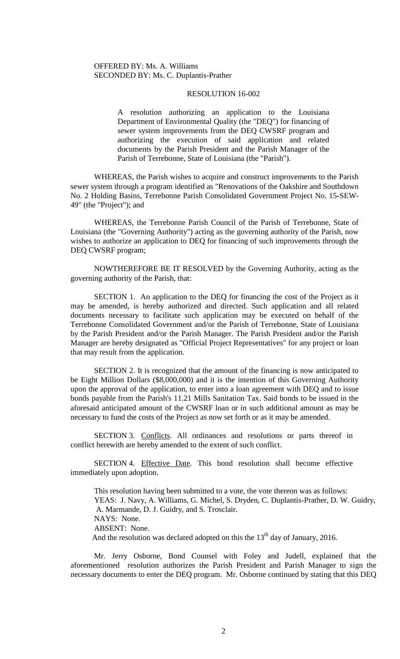#### RESOLUTION 16-002

A resolution authorizing an application to the Louisiana Department of Environmental Quality (the "DEQ") for financing of sewer system improvements from the DEQ CWSRF program and authorizing the execution of said application and related documents by the Parish President and the Parish Manager of the Parish of Terrebonne, State of Louisiana (the "Parish").

WHEREAS, the Parish wishes to acquire and construct improvements to the Parish sewer system through a program identified as "Renovations of the Oakshire and Southdown No. 2 Holding Basins, Terrebonne Parish Consolidated Government Project No. 15-SEW-49" (the "Project"); and

WHEREAS, the Terrebonne Parish Council of the Parish of Terrebonne, State of Louisiana (the "Governing Authority") acting as the governing authority of the Parish, now wishes to authorize an application to DEQ for financing of such improvements through the DEQ CWSRF program;

NOWTHEREFORE BE IT RESOLVED by the Governing Authority, acting as the governing authority of the Parish, that:

SECTION 1. An application to the DEQ for financing the cost of the Project as it may be amended, is hereby authorized and directed. Such application and all related documents necessary to facilitate such application may be executed on behalf of the Terrebonne Consolidated Government and/or the Parish of Terrebonne, State of Louisiana by the Parish President and/or the Parish Manager. The Parish President and/or the Parish Manager are hereby designated as "Official Project Representatives" for any project or loan that may result from the application.

SECTION 2. It is recognized that the amount of the financing is now anticipated to be Eight Million Dollars (\$8,000,000) and it is the intention of this Governing Authority upon the approval of the application, to enter into a loan agreement with DEQ and to issue bonds payable from the Parish's 11.21 Mills Sanitation Tax. Said bonds to be issued in the aforesaid anticipated amount of the CWSRF loan or in such additional amount as may be necessary to fund the costs of the Project as now set forth or as it may be amended.

SECTION 3. Conflicts. All ordinances and resolutions or parts thereof in conflict herewith are hereby amended to the extent of such conflict.

SECTION 4. Effective Date. This bond resolution shall become effective immediately upon adoption.

This resolution having been submitted to a vote, the vote thereon was as follows: YEAS: J. Navy, A. Williams, G. Michel, S. Dryden, C. Duplantis-Prather, D. W. Guidry, A. Marmande, D. J. Guidry, and S. Trosclair. NAYS: None. ABSENT: None. And the resolution was declared adopted on this the  $13<sup>th</sup>$  day of January, 2016.

Mr. Jerry Osborne, Bond Counsel with Foley and Judell, explained that the aforementioned resolution authorizes the Parish President and Parish Manager to sign the necessary documents to enter the DEQ program. Mr. Osborne continued by stating that this DEQ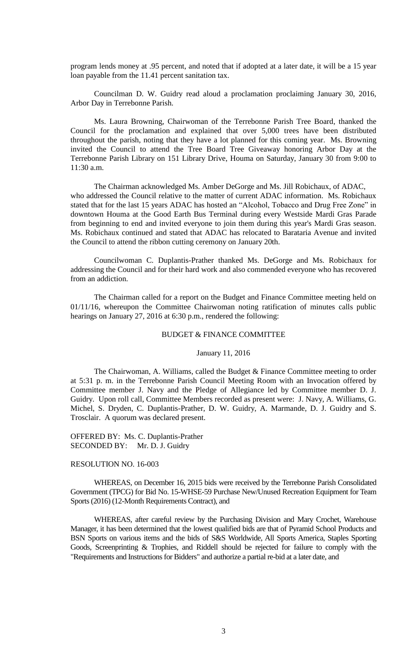program lends money at .95 percent, and noted that if adopted at a later date, it will be a 15 year loan payable from the 11.41 percent sanitation tax.

Councilman D. W. Guidry read aloud a proclamation proclaiming January 30, 2016, Arbor Day in Terrebonne Parish.

Ms. Laura Browning, Chairwoman of the Terrebonne Parish Tree Board, thanked the Council for the proclamation and explained that over 5,000 trees have been distributed throughout the parish, noting that they have a lot planned for this coming year. Ms. Browning invited the Council to attend the Tree Board Tree Giveaway honoring Arbor Day at the Terrebonne Parish Library on 151 Library Drive, Houma on Saturday, January 30 from 9:00 to 11:30 a.m.

The Chairman acknowledged Ms. Amber DeGorge and Ms. Jill Robichaux, of ADAC, who addressed the Council relative to the matter of current ADAC information. Ms. Robichaux stated that for the last 15 years ADAC has hosted an "Alcohol, Tobacco and Drug Free Zone" in downtown Houma at the Good Earth Bus Terminal during every Westside Mardi Gras Parade from beginning to end and invited everyone to join them during this year's Mardi Gras season. Ms. Robichaux continued and stated that ADAC has relocated to Barataria Avenue and invited the Council to attend the ribbon cutting ceremony on January 20th.

Councilwoman C. Duplantis-Prather thanked Ms. DeGorge and Ms. Robichaux for addressing the Council and for their hard work and also commended everyone who has recovered from an addiction.

The Chairman called for a report on the Budget and Finance Committee meeting held on 01/11/16, whereupon the Committee Chairwoman noting ratification of minutes calls public hearings on January 27, 2016 at 6:30 p.m., rendered the following:

# BUDGET & FINANCE COMMITTEE

#### January 11, 2016

The Chairwoman, A. Williams, called the Budget & Finance Committee meeting to order at 5:31 p. m. in the Terrebonne Parish Council Meeting Room with an Invocation offered by Committee member J. Navy and the Pledge of Allegiance led by Committee member D. J. Guidry. Upon roll call, Committee Members recorded as present were: J. Navy, A. Williams, G. Michel, S. Dryden, C. Duplantis-Prather, D. W. Guidry, A. Marmande, D. J. Guidry and S. Trosclair. A quorum was declared present.

OFFERED BY: Ms. C. Duplantis-Prather SECONDED BY: Mr. D. J. Guidry

## RESOLUTION NO. 16-003

WHEREAS, on December 16, 2015 bids were received by the Terrebonne Parish Consolidated Government (TPCG) for Bid No. 15-WHSE-59 Purchase New/Unused Recreation Equipment for Team Sports (2016) (12-Month Requirements Contract), and

WHEREAS, after careful review by the Purchasing Division and Mary Crochet, Warehouse Manager, it has been determined that the lowest qualified bids are that of Pyramid School Products and BSN Sports on various items and the bids of S&S Worldwide, All Sports America, Staples Sporting Goods, Screenprinting & Trophies, and Riddell should be rejected for failure to comply with the "Requirements and Instructions for Bidders" and authorize a partial re-bid at a later date, and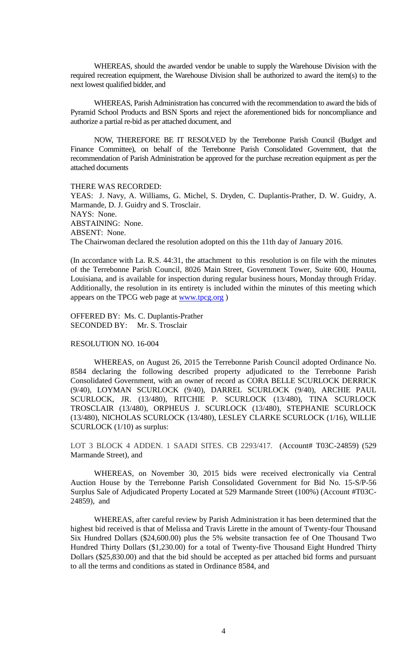WHEREAS, should the awarded vendor be unable to supply the Warehouse Division with the required recreation equipment, the Warehouse Division shall be authorized to award the item(s) to the next lowest qualified bidder, and

WHEREAS, Parish Administration has concurred with the recommendation to award the bids of Pyramid School Products and BSN Sports and reject the aforementioned bids for noncompliance and authorize a partial re-bid as per attached document, and

NOW, THEREFORE BE IT RESOLVED by the Terrebonne Parish Council (Budget and Finance Committee), on behalf of the Terrebonne Parish Consolidated Government, that the recommendation of Parish Administration be approved for the purchase recreation equipment as per the attached documents

#### THERE WAS RECORDED:

YEAS: J. Navy, A. Williams, G. Michel, S. Dryden, C. Duplantis-Prather, D. W. Guidry, A. Marmande, D. J. Guidry and S. Trosclair. NAYS: None. ABSTAINING: None. ABSENT: None. The Chairwoman declared the resolution adopted on this the 11th day of January 2016.

(In accordance with La. R.S. 44:31, the attachment to this resolution is on file with the minutes of the Terrebonne Parish Council, 8026 Main Street, Government Tower, Suite 600, Houma, Louisiana, and is available for inspection during regular business hours, Monday through Friday. Additionally, the resolution in its entirety is included within the minutes of this meeting which appears on the TPCG web page at [www.tpcg.org](http://www.tpcg.org/) )

OFFERED BY: Ms. C. Duplantis-Prather SECONDED BY: Mr. S. Trosclair

## RESOLUTION NO. 16-004

WHEREAS, on August 26, 2015 the Terrebonne Parish Council adopted Ordinance No. 8584 declaring the following described property adjudicated to the Terrebonne Parish Consolidated Government, with an owner of record as CORA BELLE SCURLOCK DERRICK (9/40), LOYMAN SCURLOCK (9/40), DARREL SCURLOCK (9/40), ARCHIE PAUL SCURLOCK, JR. (13/480), RITCHIE P. SCURLOCK (13/480), TINA SCURLOCK TROSCLAIR (13/480), ORPHEUS J. SCURLOCK (13/480), STEPHANIE SCURLOCK (13/480), NICHOLAS SCURLOCK (13/480), LESLEY CLARKE SCURLOCK (1/16), WILLIE SCURLOCK (1/10) as surplus:

LOT 3 BLOCK 4 ADDEN. 1 SAADI SITES. CB 2293/417. (Account# T03C-24859) (529 Marmande Street), and

WHEREAS, on November 30, 2015 bids were received electronically via Central Auction House by the Terrebonne Parish Consolidated Government for Bid No. 15-S/P-56 Surplus Sale of Adjudicated Property Located at 529 Marmande Street (100%) (Account #T03C-24859), and

WHEREAS, after careful review by Parish Administration it has been determined that the highest bid received is that of Melissa and Travis Lirette in the amount of Twenty-four Thousand Six Hundred Dollars (\$24,600.00) plus the 5% website transaction fee of One Thousand Two Hundred Thirty Dollars (\$1,230.00) for a total of Twenty-five Thousand Eight Hundred Thirty Dollars (\$25,830.00) and that the bid should be accepted as per attached bid forms and pursuant to all the terms and conditions as stated in Ordinance 8584, and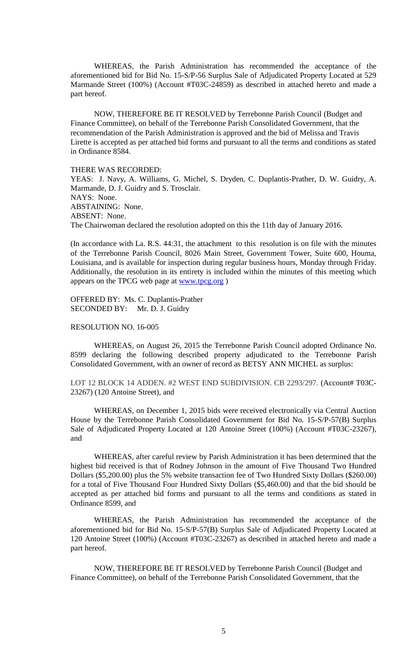WHEREAS, the Parish Administration has recommended the acceptance of the aforementioned bid for Bid No. 15-S/P-56 Surplus Sale of Adjudicated Property Located at 529 Marmande Street (100%) (Account #T03C-24859) as described in attached hereto and made a part hereof.

NOW, THEREFORE BE IT RESOLVED by Terrebonne Parish Council (Budget and Finance Committee), on behalf of the Terrebonne Parish Consolidated Government, that the recommendation of the Parish Administration is approved and the bid of Melissa and Travis Lirette is accepted as per attached bid forms and pursuant to all the terms and conditions as stated in Ordinance 8584.

THERE WAS RECORDED: YEAS: J. Navy, A. Williams, G. Michel, S. Dryden, C. Duplantis-Prather, D. W. Guidry, A. Marmande, D. J. Guidry and S. Trosclair. NAYS: None. ABSTAINING: None. ABSENT: None. The Chairwoman declared the resolution adopted on this the 11th day of January 2016.

(In accordance with La. R.S. 44:31, the attachment to this resolution is on file with the minutes of the Terrebonne Parish Council, 8026 Main Street, Government Tower, Suite 600, Houma, Louisiana, and is available for inspection during regular business hours, Monday through Friday. Additionally, the resolution in its entirety is included within the minutes of this meeting which appears on the TPCG web page at [www.tpcg.org](http://www.tpcg.org/) )

OFFERED BY: Ms. C. Duplantis-Prather SECONDED BY: Mr. D. J. Guidry

## RESOLUTION NO. 16-005

WHEREAS, on August 26, 2015 the Terrebonne Parish Council adopted Ordinance No. 8599 declaring the following described property adjudicated to the Terrebonne Parish Consolidated Government, with an owner of record as BETSY ANN MICHEL as surplus:

LOT 12 BLOCK 14 ADDEN. #2 WEST END SUBDIVISION. CB 2293/297. (Account# T03C-23267) (120 Antoine Street), and

WHEREAS, on December 1, 2015 bids were received electronically via Central Auction House by the Terrebonne Parish Consolidated Government for Bid No. 15-S/P-57(B) Surplus Sale of Adjudicated Property Located at 120 Antoine Street (100%) (Account #T03C-23267), and

WHEREAS, after careful review by Parish Administration it has been determined that the highest bid received is that of Rodney Johnson in the amount of Five Thousand Two Hundred Dollars (\$5,200.00) plus the 5% website transaction fee of Two Hundred Sixty Dollars (\$260.00) for a total of Five Thousand Four Hundred Sixty Dollars (\$5,460.00) and that the bid should be accepted as per attached bid forms and pursuant to all the terms and conditions as stated in Ordinance 8599, and

WHEREAS, the Parish Administration has recommended the acceptance of the aforementioned bid for Bid No. 15-S/P-57(B) Surplus Sale of Adjudicated Property Located at 120 Antoine Street (100%) (Account #T03C-23267) as described in attached hereto and made a part hereof.

NOW, THEREFORE BE IT RESOLVED by Terrebonne Parish Council (Budget and Finance Committee), on behalf of the Terrebonne Parish Consolidated Government, that the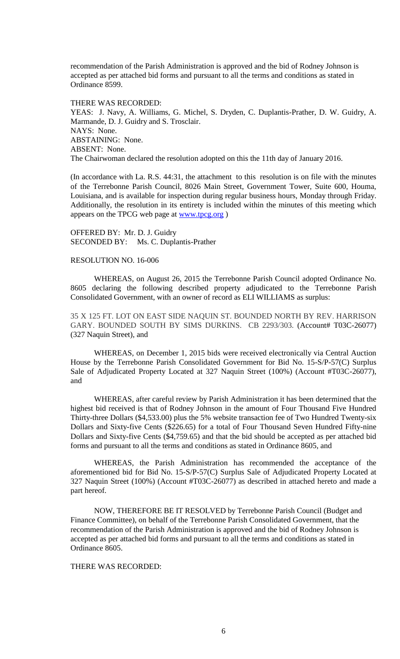recommendation of the Parish Administration is approved and the bid of Rodney Johnson is accepted as per attached bid forms and pursuant to all the terms and conditions as stated in Ordinance 8599.

THERE WAS RECORDED: YEAS: J. Navy, A. Williams, G. Michel, S. Dryden, C. Duplantis-Prather, D. W. Guidry, A. Marmande, D. J. Guidry and S. Trosclair. NAYS: None. ABSTAINING: None. ABSENT: None. The Chairwoman declared the resolution adopted on this the 11th day of January 2016.

(In accordance with La. R.S. 44:31, the attachment to this resolution is on file with the minutes of the Terrebonne Parish Council, 8026 Main Street, Government Tower, Suite 600, Houma, Louisiana, and is available for inspection during regular business hours, Monday through Friday. Additionally, the resolution in its entirety is included within the minutes of this meeting which appears on the TPCG web page at [www.tpcg.org](http://www.tpcg.org/) )

OFFERED BY: Mr. D. J. Guidry SECONDED BY: Ms. C. Duplantis-Prather

## RESOLUTION NO. 16-006

WHEREAS, on August 26, 2015 the Terrebonne Parish Council adopted Ordinance No. 8605 declaring the following described property adjudicated to the Terrebonne Parish Consolidated Government, with an owner of record as ELI WILLIAMS as surplus:

35 X 125 FT. LOT ON EAST SIDE NAQUIN ST. BOUNDED NORTH BY REV. HARRISON GARY. BOUNDED SOUTH BY SIMS DURKINS. CB 2293/303. (Account# T03C-26077) (327 Naquin Street), and

WHEREAS, on December 1, 2015 bids were received electronically via Central Auction House by the Terrebonne Parish Consolidated Government for Bid No. 15-S/P-57(C) Surplus Sale of Adjudicated Property Located at 327 Naquin Street (100%) (Account #T03C-26077), and

WHEREAS, after careful review by Parish Administration it has been determined that the highest bid received is that of Rodney Johnson in the amount of Four Thousand Five Hundred Thirty-three Dollars (\$4,533.00) plus the 5% website transaction fee of Two Hundred Twenty-six Dollars and Sixty-five Cents (\$226.65) for a total of Four Thousand Seven Hundred Fifty-nine Dollars and Sixty-five Cents (\$4,759.65) and that the bid should be accepted as per attached bid forms and pursuant to all the terms and conditions as stated in Ordinance 8605, and

WHEREAS, the Parish Administration has recommended the acceptance of the aforementioned bid for Bid No. 15-S/P-57(C) Surplus Sale of Adjudicated Property Located at 327 Naquin Street (100%) (Account #T03C-26077) as described in attached hereto and made a part hereof.

NOW, THEREFORE BE IT RESOLVED by Terrebonne Parish Council (Budget and Finance Committee), on behalf of the Terrebonne Parish Consolidated Government, that the recommendation of the Parish Administration is approved and the bid of Rodney Johnson is accepted as per attached bid forms and pursuant to all the terms and conditions as stated in Ordinance 8605.

### THERE WAS RECORDED: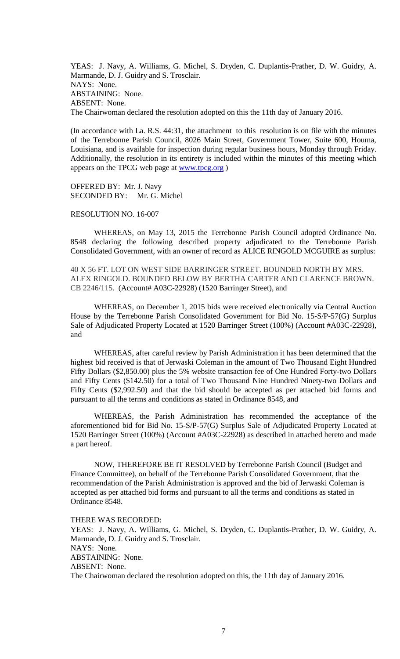YEAS: J. Navy, A. Williams, G. Michel, S. Dryden, C. Duplantis-Prather, D. W. Guidry, A. Marmande, D. J. Guidry and S. Trosclair. NAYS: None. ABSTAINING: None. ABSENT: None. The Chairwoman declared the resolution adopted on this the 11th day of January 2016.

(In accordance with La. R.S. 44:31, the attachment to this resolution is on file with the minutes of the Terrebonne Parish Council, 8026 Main Street, Government Tower, Suite 600, Houma, Louisiana, and is available for inspection during regular business hours, Monday through Friday. Additionally, the resolution in its entirety is included within the minutes of this meeting which appears on the TPCG web page at [www.tpcg.org](http://www.tpcg.org/) )

OFFERED BY: Mr. J. Navy SECONDED BY: Mr. G. Michel

# RESOLUTION NO. 16-007

WHEREAS, on May 13, 2015 the Terrebonne Parish Council adopted Ordinance No. 8548 declaring the following described property adjudicated to the Terrebonne Parish Consolidated Government, with an owner of record as ALICE RINGOLD MCGUIRE as surplus:

40 X 56 FT. LOT ON WEST SIDE BARRINGER STREET. BOUNDED NORTH BY MRS. ALEX RINGOLD. BOUNDED BELOW BY BERTHA CARTER AND CLARENCE BROWN. CB 2246/115. (Account# A03C-22928) (1520 Barringer Street), and

WHEREAS, on December 1, 2015 bids were received electronically via Central Auction House by the Terrebonne Parish Consolidated Government for Bid No. 15-S/P-57(G) Surplus Sale of Adjudicated Property Located at 1520 Barringer Street (100%) (Account #A03C-22928), and

WHEREAS, after careful review by Parish Administration it has been determined that the highest bid received is that of Jerwaski Coleman in the amount of Two Thousand Eight Hundred Fifty Dollars (\$2,850.00) plus the 5% website transaction fee of One Hundred Forty-two Dollars and Fifty Cents (\$142.50) for a total of Two Thousand Nine Hundred Ninety-two Dollars and Fifty Cents (\$2,992.50) and that the bid should be accepted as per attached bid forms and pursuant to all the terms and conditions as stated in Ordinance 8548, and

WHEREAS, the Parish Administration has recommended the acceptance of the aforementioned bid for Bid No. 15-S/P-57(G) Surplus Sale of Adjudicated Property Located at 1520 Barringer Street (100%) (Account #A03C-22928) as described in attached hereto and made a part hereof.

NOW, THEREFORE BE IT RESOLVED by Terrebonne Parish Council (Budget and Finance Committee), on behalf of the Terrebonne Parish Consolidated Government, that the recommendation of the Parish Administration is approved and the bid of Jerwaski Coleman is accepted as per attached bid forms and pursuant to all the terms and conditions as stated in Ordinance 8548.

THERE WAS RECORDED: YEAS: J. Navy, A. Williams, G. Michel, S. Dryden, C. Duplantis-Prather, D. W. Guidry, A. Marmande, D. J. Guidry and S. Trosclair. NAYS: None. ABSTAINING: None. ABSENT: None. The Chairwoman declared the resolution adopted on this, the 11th day of January 2016.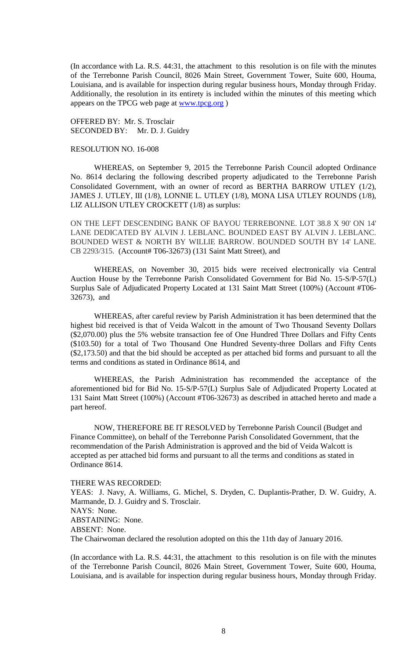(In accordance with La. R.S. 44:31, the attachment to this resolution is on file with the minutes of the Terrebonne Parish Council, 8026 Main Street, Government Tower, Suite 600, Houma, Louisiana, and is available for inspection during regular business hours, Monday through Friday. Additionally, the resolution in its entirety is included within the minutes of this meeting which appears on the TPCG web page at [www.tpcg.org](http://www.tpcg.org/) )

OFFERED BY: Mr. S. Trosclair SECONDED BY: Mr. D. J. Guidry

#### RESOLUTION NO. 16-008

WHEREAS, on September 9, 2015 the Terrebonne Parish Council adopted Ordinance No. 8614 declaring the following described property adjudicated to the Terrebonne Parish Consolidated Government, with an owner of record as BERTHA BARROW UTLEY (1/2), JAMES J. UTLEY, III (1/8), LONNIE L. UTLEY (1/8), MONA LISA UTLEY ROUNDS (1/8), LIZ ALLISON UTLEY CROCKETT (1/8) as surplus:

ON THE LEFT DESCENDING BANK OF BAYOU TERREBONNE. LOT 38.8 X 90' ON 14' LANE DEDICATED BY ALVIN J. LEBLANC. BOUNDED EAST BY ALVIN J. LEBLANC. BOUNDED WEST & NORTH BY WILLIE BARROW. BOUNDED SOUTH BY 14' LANE. CB 2293/315. (Account# T06-32673) (131 Saint Matt Street), and

WHEREAS, on November 30, 2015 bids were received electronically via Central Auction House by the Terrebonne Parish Consolidated Government for Bid No. 15-S/P-57(L) Surplus Sale of Adjudicated Property Located at 131 Saint Matt Street (100%) (Account #T06- 32673), and

WHEREAS, after careful review by Parish Administration it has been determined that the highest bid received is that of Veida Walcott in the amount of Two Thousand Seventy Dollars (\$2,070.00) plus the 5% website transaction fee of One Hundred Three Dollars and Fifty Cents (\$103.50) for a total of Two Thousand One Hundred Seventy-three Dollars and Fifty Cents (\$2,173.50) and that the bid should be accepted as per attached bid forms and pursuant to all the terms and conditions as stated in Ordinance 8614, and

WHEREAS, the Parish Administration has recommended the acceptance of the aforementioned bid for Bid No. 15-S/P-57(L) Surplus Sale of Adjudicated Property Located at 131 Saint Matt Street (100%) (Account #T06-32673) as described in attached hereto and made a part hereof.

NOW, THEREFORE BE IT RESOLVED by Terrebonne Parish Council (Budget and Finance Committee), on behalf of the Terrebonne Parish Consolidated Government, that the recommendation of the Parish Administration is approved and the bid of Veida Walcott is accepted as per attached bid forms and pursuant to all the terms and conditions as stated in Ordinance 8614.

THERE WAS RECORDED:

YEAS: J. Navy, A. Williams, G. Michel, S. Dryden, C. Duplantis-Prather, D. W. Guidry, A. Marmande, D. J. Guidry and S. Trosclair. NAYS: None. ABSTAINING: None. ABSENT: None. The Chairwoman declared the resolution adopted on this the 11th day of January 2016.

(In accordance with La. R.S. 44:31, the attachment to this resolution is on file with the minutes of the Terrebonne Parish Council, 8026 Main Street, Government Tower, Suite 600, Houma, Louisiana, and is available for inspection during regular business hours, Monday through Friday.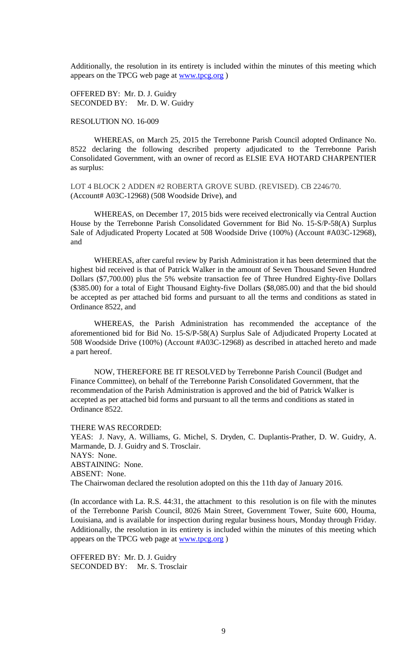Additionally, the resolution in its entirety is included within the minutes of this meeting which appears on the TPCG web page at [www.tpcg.org](http://www.tpcg.org/) )

OFFERED BY: Mr. D. J. Guidry SECONDED BY: Mr. D. W. Guidry

### RESOLUTION NO. 16-009

WHEREAS, on March 25, 2015 the Terrebonne Parish Council adopted Ordinance No. 8522 declaring the following described property adjudicated to the Terrebonne Parish Consolidated Government, with an owner of record as ELSIE EVA HOTARD CHARPENTIER as surplus:

LOT 4 BLOCK 2 ADDEN #2 ROBERTA GROVE SUBD. (REVISED). CB 2246/70. (Account# A03C-12968) (508 Woodside Drive), and

WHEREAS, on December 17, 2015 bids were received electronically via Central Auction House by the Terrebonne Parish Consolidated Government for Bid No. 15-S/P-58(A) Surplus Sale of Adjudicated Property Located at 508 Woodside Drive (100%) (Account #A03C-12968), and

WHEREAS, after careful review by Parish Administration it has been determined that the highest bid received is that of Patrick Walker in the amount of Seven Thousand Seven Hundred Dollars (\$7,700.00) plus the 5% website transaction fee of Three Hundred Eighty-five Dollars (\$385.00) for a total of Eight Thousand Eighty-five Dollars (\$8,085.00) and that the bid should be accepted as per attached bid forms and pursuant to all the terms and conditions as stated in Ordinance 8522, and

WHEREAS, the Parish Administration has recommended the acceptance of the aforementioned bid for Bid No. 15-S/P-58(A) Surplus Sale of Adjudicated Property Located at 508 Woodside Drive (100%) (Account #A03C-12968) as described in attached hereto and made a part hereof.

NOW, THEREFORE BE IT RESOLVED by Terrebonne Parish Council (Budget and Finance Committee), on behalf of the Terrebonne Parish Consolidated Government, that the recommendation of the Parish Administration is approved and the bid of Patrick Walker is accepted as per attached bid forms and pursuant to all the terms and conditions as stated in Ordinance 8522.

THERE WAS RECORDED:

YEAS: J. Navy, A. Williams, G. Michel, S. Dryden, C. Duplantis-Prather, D. W. Guidry, A. Marmande, D. J. Guidry and S. Trosclair. NAYS: None. ABSTAINING: None. ABSENT: None. The Chairwoman declared the resolution adopted on this the 11th day of January 2016.

(In accordance with La. R.S. 44:31, the attachment to this resolution is on file with the minutes of the Terrebonne Parish Council, 8026 Main Street, Government Tower, Suite 600, Houma, Louisiana, and is available for inspection during regular business hours, Monday through Friday. Additionally, the resolution in its entirety is included within the minutes of this meeting which appears on the TPCG web page at [www.tpcg.org](http://www.tpcg.org/) )

OFFERED BY: Mr. D. J. Guidry SECONDED BY: Mr. S. Trosclair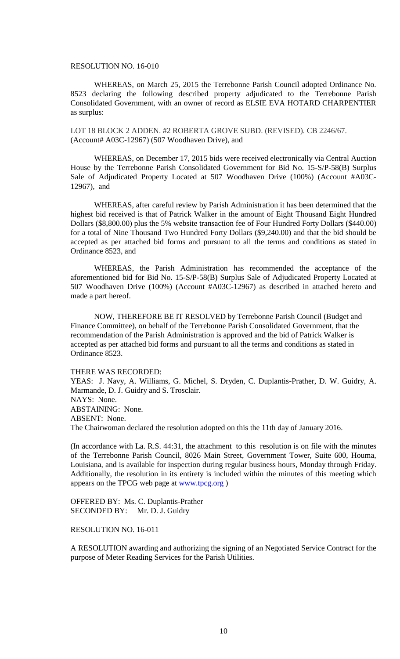### RESOLUTION NO. 16-010

WHEREAS, on March 25, 2015 the Terrebonne Parish Council adopted Ordinance No. 8523 declaring the following described property adjudicated to the Terrebonne Parish Consolidated Government, with an owner of record as ELSIE EVA HOTARD CHARPENTIER as surplus:

LOT 18 BLOCK 2 ADDEN. #2 ROBERTA GROVE SUBD. (REVISED). CB 2246/67. (Account# A03C-12967) (507 Woodhaven Drive), and

WHEREAS, on December 17, 2015 bids were received electronically via Central Auction House by the Terrebonne Parish Consolidated Government for Bid No. 15-S/P-58(B) Surplus Sale of Adjudicated Property Located at 507 Woodhaven Drive (100%) (Account #A03C-12967), and

WHEREAS, after careful review by Parish Administration it has been determined that the highest bid received is that of Patrick Walker in the amount of Eight Thousand Eight Hundred Dollars (\$8,800.00) plus the 5% website transaction fee of Four Hundred Forty Dollars (\$440.00) for a total of Nine Thousand Two Hundred Forty Dollars (\$9,240.00) and that the bid should be accepted as per attached bid forms and pursuant to all the terms and conditions as stated in Ordinance 8523, and

WHEREAS, the Parish Administration has recommended the acceptance of the aforementioned bid for Bid No. 15-S/P-58(B) Surplus Sale of Adjudicated Property Located at 507 Woodhaven Drive (100%) (Account #A03C-12967) as described in attached hereto and made a part hereof.

NOW, THEREFORE BE IT RESOLVED by Terrebonne Parish Council (Budget and Finance Committee), on behalf of the Terrebonne Parish Consolidated Government, that the recommendation of the Parish Administration is approved and the bid of Patrick Walker is accepted as per attached bid forms and pursuant to all the terms and conditions as stated in Ordinance 8523.

THERE WAS RECORDED:

YEAS: J. Navy, A. Williams, G. Michel, S. Dryden, C. Duplantis-Prather, D. W. Guidry, A. Marmande, D. J. Guidry and S. Trosclair. NAYS: None. ABSTAINING: None. ABSENT: None. The Chairwoman declared the resolution adopted on this the 11th day of January 2016.

(In accordance with La. R.S. 44:31, the attachment to this resolution is on file with the minutes of the Terrebonne Parish Council, 8026 Main Street, Government Tower, Suite 600, Houma, Louisiana, and is available for inspection during regular business hours, Monday through Friday. Additionally, the resolution in its entirety is included within the minutes of this meeting which appears on the TPCG web page at [www.tpcg.org](http://www.tpcg.org/) )

OFFERED BY: Ms. C. Duplantis-Prather SECONDED BY: Mr. D. J. Guidry

## RESOLUTION NO. 16-011

A RESOLUTION awarding and authorizing the signing of an Negotiated Service Contract for the purpose of Meter Reading Services for the Parish Utilities.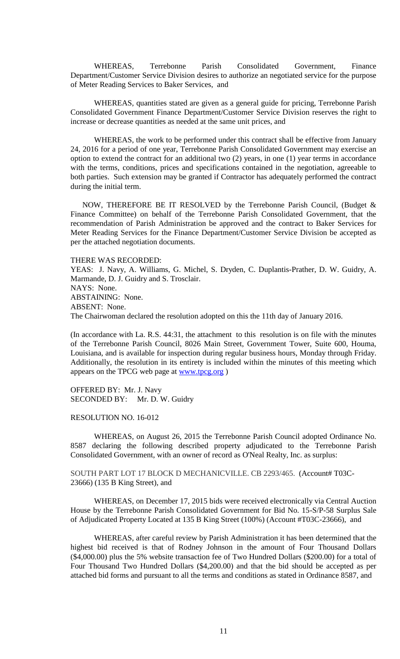WHEREAS, Terrebonne Parish Consolidated Government, Finance Department/Customer Service Division desires to authorize an negotiated service for the purpose of Meter Reading Services to Baker Services, and

WHEREAS, quantities stated are given as a general guide for pricing, Terrebonne Parish Consolidated Government Finance Department/Customer Service Division reserves the right to increase or decrease quantities as needed at the same unit prices, and

WHEREAS, the work to be performed under this contract shall be effective from January 24, 2016 for a period of one year, Terrebonne Parish Consolidated Government may exercise an option to extend the contract for an additional two (2) years, in one (1) year terms in accordance with the terms, conditions, prices and specifications contained in the negotiation, agreeable to both parties. Such extension may be granted if Contractor has adequately performed the contract during the initial term.

NOW, THEREFORE BE IT RESOLVED by the Terrebonne Parish Council, (Budget & Finance Committee) on behalf of the Terrebonne Parish Consolidated Government, that the recommendation of Parish Administration be approved and the contract to Baker Services for Meter Reading Services for the Finance Department/Customer Service Division be accepted as per the attached negotiation documents.

THERE WAS RECORDED:

YEAS: J. Navy, A. Williams, G. Michel, S. Dryden, C. Duplantis-Prather, D. W. Guidry, A. Marmande, D. J. Guidry and S. Trosclair. NAYS: None. ABSTAINING: None. ABSENT: None. The Chairwoman declared the resolution adopted on this the 11th day of January 2016.

(In accordance with La. R.S. 44:31, the attachment to this resolution is on file with the minutes of the Terrebonne Parish Council, 8026 Main Street, Government Tower, Suite 600, Houma, Louisiana, and is available for inspection during regular business hours, Monday through Friday. Additionally, the resolution in its entirety is included within the minutes of this meeting which appears on the TPCG web page at **www.tpcg.org** )

OFFERED BY: Mr. J. Navy SECONDED BY: Mr. D. W. Guidry

## RESOLUTION NO. 16-012

WHEREAS, on August 26, 2015 the Terrebonne Parish Council adopted Ordinance No. 8587 declaring the following described property adjudicated to the Terrebonne Parish Consolidated Government, with an owner of record as O'Neal Realty, Inc. as surplus:

SOUTH PART LOT 17 BLOCK D MECHANICVILLE. CB 2293/465. (Account# T03C-23666) (135 B King Street), and

WHEREAS, on December 17, 2015 bids were received electronically via Central Auction House by the Terrebonne Parish Consolidated Government for Bid No. 15-S/P-58 Surplus Sale of Adjudicated Property Located at 135 B King Street (100%) (Account #T03C-23666), and

WHEREAS, after careful review by Parish Administration it has been determined that the highest bid received is that of Rodney Johnson in the amount of Four Thousand Dollars (\$4,000.00) plus the 5% website transaction fee of Two Hundred Dollars (\$200.00) for a total of Four Thousand Two Hundred Dollars (\$4,200.00) and that the bid should be accepted as per attached bid forms and pursuant to all the terms and conditions as stated in Ordinance 8587, and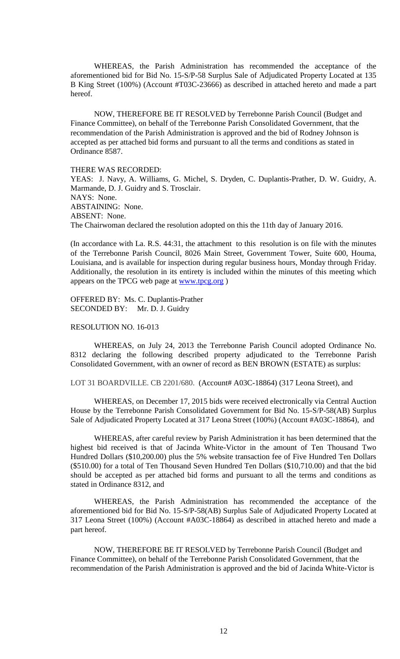WHEREAS, the Parish Administration has recommended the acceptance of the aforementioned bid for Bid No. 15-S/P-58 Surplus Sale of Adjudicated Property Located at 135 B King Street (100%) (Account #T03C-23666) as described in attached hereto and made a part hereof.

NOW, THEREFORE BE IT RESOLVED by Terrebonne Parish Council (Budget and Finance Committee), on behalf of the Terrebonne Parish Consolidated Government, that the recommendation of the Parish Administration is approved and the bid of Rodney Johnson is accepted as per attached bid forms and pursuant to all the terms and conditions as stated in Ordinance 8587.

THERE WAS RECORDED: YEAS: J. Navy, A. Williams, G. Michel, S. Dryden, C. Duplantis-Prather, D. W. Guidry, A. Marmande, D. J. Guidry and S. Trosclair. NAYS: None. ABSTAINING: None. ABSENT: None. The Chairwoman declared the resolution adopted on this the 11th day of January 2016.

(In accordance with La. R.S. 44:31, the attachment to this resolution is on file with the minutes of the Terrebonne Parish Council, 8026 Main Street, Government Tower, Suite 600, Houma, Louisiana, and is available for inspection during regular business hours, Monday through Friday. Additionally, the resolution in its entirety is included within the minutes of this meeting which appears on the TPCG web page at [www.tpcg.org](http://www.tpcg.org/) )

OFFERED BY: Ms. C. Duplantis-Prather SECONDED BY: Mr. D. J. Guidry

## RESOLUTION NO. 16-013

WHEREAS, on July 24, 2013 the Terrebonne Parish Council adopted Ordinance No. 8312 declaring the following described property adjudicated to the Terrebonne Parish Consolidated Government, with an owner of record as BEN BROWN (ESTATE) as surplus:

LOT 31 BOARDVILLE. CB 2201/680. (Account# A03C-18864) (317 Leona Street), and

WHEREAS, on December 17, 2015 bids were received electronically via Central Auction House by the Terrebonne Parish Consolidated Government for Bid No. 15-S/P-58(AB) Surplus Sale of Adjudicated Property Located at 317 Leona Street (100%) (Account #A03C-18864), and

WHEREAS, after careful review by Parish Administration it has been determined that the highest bid received is that of Jacinda White-Victor in the amount of Ten Thousand Two Hundred Dollars (\$10,200.00) plus the 5% website transaction fee of Five Hundred Ten Dollars (\$510.00) for a total of Ten Thousand Seven Hundred Ten Dollars (\$10,710.00) and that the bid should be accepted as per attached bid forms and pursuant to all the terms and conditions as stated in Ordinance 8312, and

WHEREAS, the Parish Administration has recommended the acceptance of the aforementioned bid for Bid No. 15-S/P-58(AB) Surplus Sale of Adjudicated Property Located at 317 Leona Street (100%) (Account #A03C-18864) as described in attached hereto and made a part hereof.

NOW, THEREFORE BE IT RESOLVED by Terrebonne Parish Council (Budget and Finance Committee), on behalf of the Terrebonne Parish Consolidated Government, that the recommendation of the Parish Administration is approved and the bid of Jacinda White-Victor is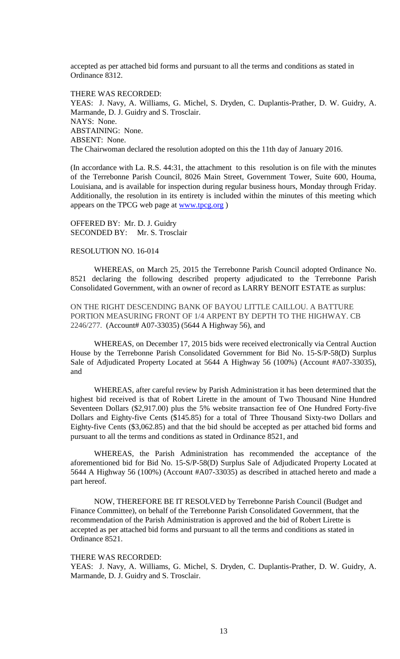accepted as per attached bid forms and pursuant to all the terms and conditions as stated in Ordinance 8312.

THERE WAS RECORDED: YEAS: J. Navy, A. Williams, G. Michel, S. Dryden, C. Duplantis-Prather, D. W. Guidry, A. Marmande, D. J. Guidry and S. Trosclair. NAYS: None. ABSTAINING: None. ABSENT: None. The Chairwoman declared the resolution adopted on this the 11th day of January 2016.

(In accordance with La. R.S. 44:31, the attachment to this resolution is on file with the minutes of the Terrebonne Parish Council, 8026 Main Street, Government Tower, Suite 600, Houma, Louisiana, and is available for inspection during regular business hours, Monday through Friday. Additionally, the resolution in its entirety is included within the minutes of this meeting which appears on the TPCG web page at [www.tpcg.org](http://www.tpcg.org/) )

OFFERED BY: Mr. D. J. Guidry SECONDED BY: Mr. S. Trosclair

## RESOLUTION NO. 16-014

WHEREAS, on March 25, 2015 the Terrebonne Parish Council adopted Ordinance No. 8521 declaring the following described property adjudicated to the Terrebonne Parish Consolidated Government, with an owner of record as LARRY BENOIT ESTATE as surplus:

ON THE RIGHT DESCENDING BANK OF BAYOU LITTLE CAILLOU. A BATTURE PORTION MEASURING FRONT OF 1/4 ARPENT BY DEPTH TO THE HIGHWAY. CB 2246/277. (Account# A07-33035) (5644 A Highway 56), and

WHEREAS, on December 17, 2015 bids were received electronically via Central Auction House by the Terrebonne Parish Consolidated Government for Bid No. 15-S/P-58(D) Surplus Sale of Adjudicated Property Located at 5644 A Highway 56 (100%) (Account #A07-33035), and

WHEREAS, after careful review by Parish Administration it has been determined that the highest bid received is that of Robert Lirette in the amount of Two Thousand Nine Hundred Seventeen Dollars (\$2,917.00) plus the 5% website transaction fee of One Hundred Forty-five Dollars and Eighty-five Cents (\$145.85) for a total of Three Thousand Sixty-two Dollars and Eighty-five Cents (\$3,062.85) and that the bid should be accepted as per attached bid forms and pursuant to all the terms and conditions as stated in Ordinance 8521, and

WHEREAS, the Parish Administration has recommended the acceptance of the aforementioned bid for Bid No. 15-S/P-58(D) Surplus Sale of Adjudicated Property Located at 5644 A Highway 56 (100%) (Account #A07-33035) as described in attached hereto and made a part hereof.

NOW, THEREFORE BE IT RESOLVED by Terrebonne Parish Council (Budget and Finance Committee), on behalf of the Terrebonne Parish Consolidated Government, that the recommendation of the Parish Administration is approved and the bid of Robert Lirette is accepted as per attached bid forms and pursuant to all the terms and conditions as stated in Ordinance 8521.

#### THERE WAS RECORDED:

YEAS: J. Navy, A. Williams, G. Michel, S. Dryden, C. Duplantis-Prather, D. W. Guidry, A. Marmande, D. J. Guidry and S. Trosclair.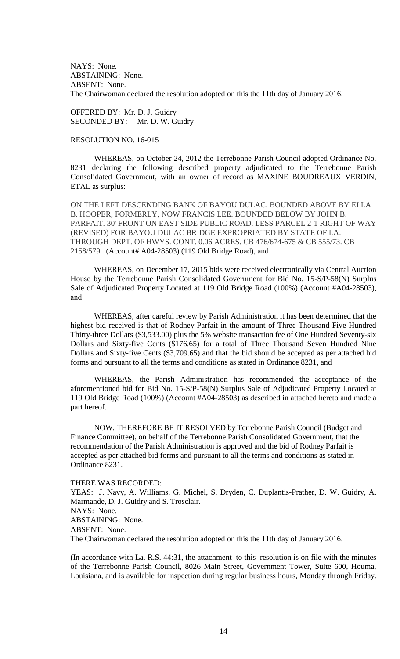NAYS: None. ABSTAINING: None. ABSENT: None. The Chairwoman declared the resolution adopted on this the 11th day of January 2016.

OFFERED BY: Mr. D. J. Guidry SECONDED BY: Mr. D. W. Guidry

## RESOLUTION NO. 16-015

WHEREAS, on October 24, 2012 the Terrebonne Parish Council adopted Ordinance No. 8231 declaring the following described property adjudicated to the Terrebonne Parish Consolidated Government, with an owner of record as MAXINE BOUDREAUX VERDIN, ETAL as surplus:

ON THE LEFT DESCENDING BANK OF BAYOU DULAC. BOUNDED ABOVE BY ELLA B. HOOPER, FORMERLY, NOW FRANCIS LEE. BOUNDED BELOW BY JOHN B. PARFAIT. 30' FRONT ON EAST SIDE PUBLIC ROAD. LESS PARCEL 2-1 RIGHT OF WAY (REVISED) FOR BAYOU DULAC BRIDGE EXPROPRIATED BY STATE OF LA. THROUGH DEPT. OF HWYS. CONT. 0.06 ACRES. CB 476/674-675 & CB 555/73. CB 2158/579. (Account# A04-28503) (119 Old Bridge Road), and

WHEREAS, on December 17, 2015 bids were received electronically via Central Auction House by the Terrebonne Parish Consolidated Government for Bid No. 15-S/P-58(N) Surplus Sale of Adjudicated Property Located at 119 Old Bridge Road (100%) (Account #A04-28503), and

WHEREAS, after careful review by Parish Administration it has been determined that the highest bid received is that of Rodney Parfait in the amount of Three Thousand Five Hundred Thirty-three Dollars (\$3,533.00) plus the 5% website transaction fee of One Hundred Seventy-six Dollars and Sixty-five Cents (\$176.65) for a total of Three Thousand Seven Hundred Nine Dollars and Sixty-five Cents (\$3,709.65) and that the bid should be accepted as per attached bid forms and pursuant to all the terms and conditions as stated in Ordinance 8231, and

WHEREAS, the Parish Administration has recommended the acceptance of the aforementioned bid for Bid No. 15-S/P-58(N) Surplus Sale of Adjudicated Property Located at 119 Old Bridge Road (100%) (Account #A04-28503) as described in attached hereto and made a part hereof.

NOW, THEREFORE BE IT RESOLVED by Terrebonne Parish Council (Budget and Finance Committee), on behalf of the Terrebonne Parish Consolidated Government, that the recommendation of the Parish Administration is approved and the bid of Rodney Parfait is accepted as per attached bid forms and pursuant to all the terms and conditions as stated in Ordinance 8231.

THERE WAS RECORDED:

YEAS: J. Navy, A. Williams, G. Michel, S. Dryden, C. Duplantis-Prather, D. W. Guidry, A. Marmande, D. J. Guidry and S. Trosclair. NAYS: None. ABSTAINING: None. ABSENT: None. The Chairwoman declared the resolution adopted on this the 11th day of January 2016.

(In accordance with La. R.S. 44:31, the attachment to this resolution is on file with the minutes of the Terrebonne Parish Council, 8026 Main Street, Government Tower, Suite 600, Houma, Louisiana, and is available for inspection during regular business hours, Monday through Friday.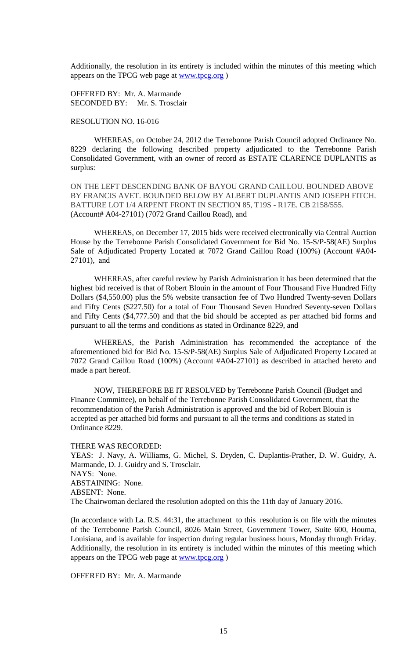Additionally, the resolution in its entirety is included within the minutes of this meeting which appears on the TPCG web page at [www.tpcg.org](http://www.tpcg.org/) )

OFFERED BY: Mr. A. Marmande SECONDED BY: Mr. S. Trosclair

# RESOLUTION NO. 16-016

WHEREAS, on October 24, 2012 the Terrebonne Parish Council adopted Ordinance No. 8229 declaring the following described property adjudicated to the Terrebonne Parish Consolidated Government, with an owner of record as ESTATE CLARENCE DUPLANTIS as surplus:

ON THE LEFT DESCENDING BANK OF BAYOU GRAND CAILLOU. BOUNDED ABOVE BY FRANCIS AVET. BOUNDED BELOW BY ALBERT DUPLANTIS AND JOSEPH FITCH. BATTURE LOT 1/4 ARPENT FRONT IN SECTION 85, T19S - R17E. CB 2158/555. (Account# A04-27101) (7072 Grand Caillou Road), and

WHEREAS, on December 17, 2015 bids were received electronically via Central Auction House by the Terrebonne Parish Consolidated Government for Bid No. 15-S/P-58(AE) Surplus Sale of Adjudicated Property Located at 7072 Grand Caillou Road (100%) (Account #A04- 27101), and

WHEREAS, after careful review by Parish Administration it has been determined that the highest bid received is that of Robert Blouin in the amount of Four Thousand Five Hundred Fifty Dollars (\$4,550.00) plus the 5% website transaction fee of Two Hundred Twenty-seven Dollars and Fifty Cents (\$227.50) for a total of Four Thousand Seven Hundred Seventy-seven Dollars and Fifty Cents (\$4,777.50) and that the bid should be accepted as per attached bid forms and pursuant to all the terms and conditions as stated in Ordinance 8229, and

WHEREAS, the Parish Administration has recommended the acceptance of the aforementioned bid for Bid No. 15-S/P-58(AE) Surplus Sale of Adjudicated Property Located at 7072 Grand Caillou Road (100%) (Account #A04-27101) as described in attached hereto and made a part hereof.

NOW, THEREFORE BE IT RESOLVED by Terrebonne Parish Council (Budget and Finance Committee), on behalf of the Terrebonne Parish Consolidated Government, that the recommendation of the Parish Administration is approved and the bid of Robert Blouin is accepted as per attached bid forms and pursuant to all the terms and conditions as stated in Ordinance 8229.

THERE WAS RECORDED:

YEAS: J. Navy, A. Williams, G. Michel, S. Dryden, C. Duplantis-Prather, D. W. Guidry, A. Marmande, D. J. Guidry and S. Trosclair. NAYS: None. ABSTAINING: None. ABSENT: None. The Chairwoman declared the resolution adopted on this the 11th day of January 2016.

(In accordance with La. R.S. 44:31, the attachment to this resolution is on file with the minutes of the Terrebonne Parish Council, 8026 Main Street, Government Tower, Suite 600, Houma, Louisiana, and is available for inspection during regular business hours, Monday through Friday. Additionally, the resolution in its entirety is included within the minutes of this meeting which appears on the TPCG web page at [www.tpcg.org](http://www.tpcg.org/) )

OFFERED BY: Mr. A. Marmande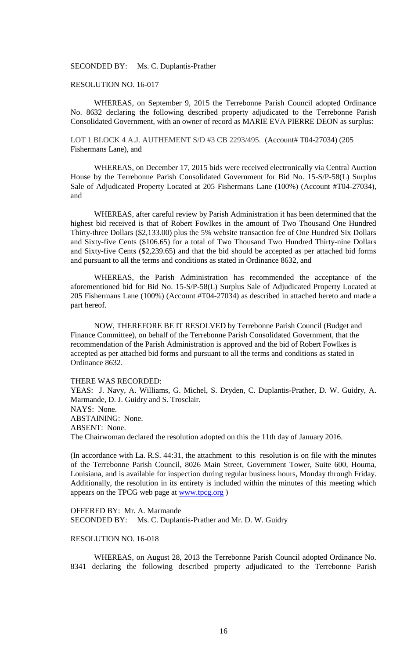SECONDED BY: Ms. C. Duplantis-Prather

### RESOLUTION NO. 16-017

WHEREAS, on September 9, 2015 the Terrebonne Parish Council adopted Ordinance No. 8632 declaring the following described property adjudicated to the Terrebonne Parish Consolidated Government, with an owner of record as MARIE EVA PIERRE DEON as surplus:

LOT 1 BLOCK 4 A.J. AUTHEMENT S/D #3 CB 2293/495. (Account# T04-27034) (205 Fishermans Lane), and

WHEREAS, on December 17, 2015 bids were received electronically via Central Auction House by the Terrebonne Parish Consolidated Government for Bid No. 15-S/P-58(L) Surplus Sale of Adjudicated Property Located at 205 Fishermans Lane (100%) (Account #T04-27034), and

WHEREAS, after careful review by Parish Administration it has been determined that the highest bid received is that of Robert Fowlkes in the amount of Two Thousand One Hundred Thirty-three Dollars (\$2,133.00) plus the 5% website transaction fee of One Hundred Six Dollars and Sixty-five Cents (\$106.65) for a total of Two Thousand Two Hundred Thirty-nine Dollars and Sixty-five Cents (\$2,239.65) and that the bid should be accepted as per attached bid forms and pursuant to all the terms and conditions as stated in Ordinance 8632, and

WHEREAS, the Parish Administration has recommended the acceptance of the aforementioned bid for Bid No. 15-S/P-58(L) Surplus Sale of Adjudicated Property Located at 205 Fishermans Lane (100%) (Account #T04-27034) as described in attached hereto and made a part hereof.

NOW, THEREFORE BE IT RESOLVED by Terrebonne Parish Council (Budget and Finance Committee), on behalf of the Terrebonne Parish Consolidated Government, that the recommendation of the Parish Administration is approved and the bid of Robert Fowlkes is accepted as per attached bid forms and pursuant to all the terms and conditions as stated in Ordinance 8632.

#### THERE WAS RECORDED:

YEAS: J. Navy, A. Williams, G. Michel, S. Dryden, C. Duplantis-Prather, D. W. Guidry, A. Marmande, D. J. Guidry and S. Trosclair. NAYS: None. ABSTAINING: None. ABSENT: None. The Chairwoman declared the resolution adopted on this the 11th day of January 2016.

(In accordance with La. R.S. 44:31, the attachment to this resolution is on file with the minutes of the Terrebonne Parish Council, 8026 Main Street, Government Tower, Suite 600, Houma, Louisiana, and is available for inspection during regular business hours, Monday through Friday. Additionally, the resolution in its entirety is included within the minutes of this meeting which appears on the TPCG web page at [www.tpcg.org](http://www.tpcg.org/) )

OFFERED BY: Mr. A. Marmande SECONDED BY: Ms. C. Duplantis-Prather and Mr. D. W. Guidry

#### RESOLUTION NO. 16-018

WHEREAS, on August 28, 2013 the Terrebonne Parish Council adopted Ordinance No. 8341 declaring the following described property adjudicated to the Terrebonne Parish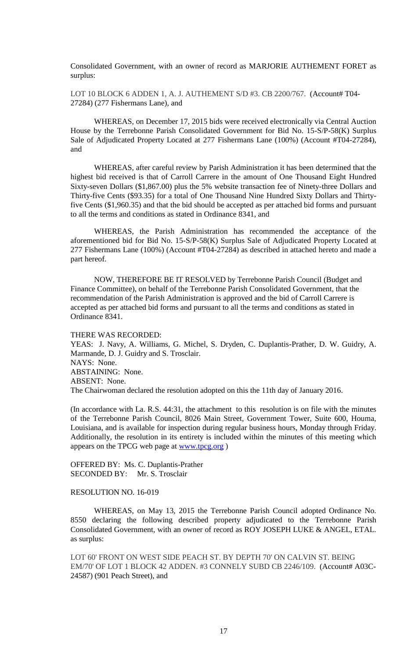Consolidated Government, with an owner of record as MARJORIE AUTHEMENT FORET as surplus:

LOT 10 BLOCK 6 ADDEN 1, A. J. AUTHEMENT S/D #3. CB 2200/767. (Account# T04- 27284) (277 Fishermans Lane), and

WHEREAS, on December 17, 2015 bids were received electronically via Central Auction House by the Terrebonne Parish Consolidated Government for Bid No. 15-S/P-58(K) Surplus Sale of Adjudicated Property Located at 277 Fishermans Lane (100%) (Account #T04-27284), and

WHEREAS, after careful review by Parish Administration it has been determined that the highest bid received is that of Carroll Carrere in the amount of One Thousand Eight Hundred Sixty-seven Dollars (\$1,867.00) plus the 5% website transaction fee of Ninety-three Dollars and Thirty-five Cents (\$93.35) for a total of One Thousand Nine Hundred Sixty Dollars and Thirtyfive Cents (\$1,960.35) and that the bid should be accepted as per attached bid forms and pursuant to all the terms and conditions as stated in Ordinance 8341, and

WHEREAS, the Parish Administration has recommended the acceptance of the aforementioned bid for Bid No. 15-S/P-58(K) Surplus Sale of Adjudicated Property Located at 277 Fishermans Lane (100%) (Account #T04-27284) as described in attached hereto and made a part hereof.

NOW, THEREFORE BE IT RESOLVED by Terrebonne Parish Council (Budget and Finance Committee), on behalf of the Terrebonne Parish Consolidated Government, that the recommendation of the Parish Administration is approved and the bid of Carroll Carrere is accepted as per attached bid forms and pursuant to all the terms and conditions as stated in Ordinance 8341.

THERE WAS RECORDED:

YEAS: J. Navy, A. Williams, G. Michel, S. Dryden, C. Duplantis-Prather, D. W. Guidry, A. Marmande, D. J. Guidry and S. Trosclair. NAYS: None. ABSTAINING: None. ABSENT: None. The Chairwoman declared the resolution adopted on this the 11th day of January 2016.

(In accordance with La. R.S. 44:31, the attachment to this resolution is on file with the minutes of the Terrebonne Parish Council, 8026 Main Street, Government Tower, Suite 600, Houma, Louisiana, and is available for inspection during regular business hours, Monday through Friday. Additionally, the resolution in its entirety is included within the minutes of this meeting which appears on the TPCG web page at [www.tpcg.org](http://www.tpcg.org/) )

OFFERED BY: Ms. C. Duplantis-Prather SECONDED BY: Mr. S. Trosclair

RESOLUTION NO. 16-019

WHEREAS, on May 13, 2015 the Terrebonne Parish Council adopted Ordinance No. 8550 declaring the following described property adjudicated to the Terrebonne Parish Consolidated Government, with an owner of record as ROY JOSEPH LUKE & ANGEL, ETAL. as surplus:

LOT 60' FRONT ON WEST SIDE PEACH ST. BY DEPTH 70' ON CALVIN ST. BEING EM/70' OF LOT 1 BLOCK 42 ADDEN. #3 CONNELY SUBD CB 2246/109. (Account# A03C-24587) (901 Peach Street), and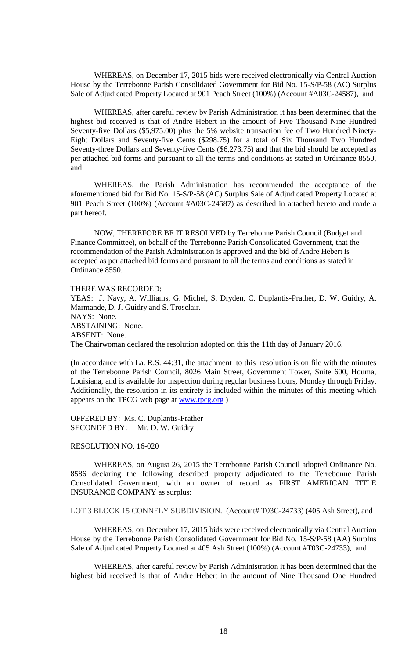WHEREAS, on December 17, 2015 bids were received electronically via Central Auction House by the Terrebonne Parish Consolidated Government for Bid No. 15-S/P-58 (AC) Surplus Sale of Adjudicated Property Located at 901 Peach Street (100%) (Account #A03C-24587), and

WHEREAS, after careful review by Parish Administration it has been determined that the highest bid received is that of Andre Hebert in the amount of Five Thousand Nine Hundred Seventy-five Dollars (\$5,975.00) plus the 5% website transaction fee of Two Hundred Ninety-Eight Dollars and Seventy-five Cents (\$298.75) for a total of Six Thousand Two Hundred Seventy-three Dollars and Seventy-five Cents (\$6,273.75) and that the bid should be accepted as per attached bid forms and pursuant to all the terms and conditions as stated in Ordinance 8550, and

WHEREAS, the Parish Administration has recommended the acceptance of the aforementioned bid for Bid No. 15-S/P-58 (AC) Surplus Sale of Adjudicated Property Located at 901 Peach Street (100%) (Account #A03C-24587) as described in attached hereto and made a part hereof.

NOW, THEREFORE BE IT RESOLVED by Terrebonne Parish Council (Budget and Finance Committee), on behalf of the Terrebonne Parish Consolidated Government, that the recommendation of the Parish Administration is approved and the bid of Andre Hebert is accepted as per attached bid forms and pursuant to all the terms and conditions as stated in Ordinance 8550.

### THERE WAS RECORDED:

YEAS: J. Navy, A. Williams, G. Michel, S. Dryden, C. Duplantis-Prather, D. W. Guidry, A. Marmande, D. J. Guidry and S. Trosclair. NAYS: None. ABSTAINING: None. ABSENT: None. The Chairwoman declared the resolution adopted on this the 11th day of January 2016.

(In accordance with La. R.S. 44:31, the attachment to this resolution is on file with the minutes of the Terrebonne Parish Council, 8026 Main Street, Government Tower, Suite 600, Houma, Louisiana, and is available for inspection during regular business hours, Monday through Friday. Additionally, the resolution in its entirety is included within the minutes of this meeting which appears on the TPCG web page at [www.tpcg.org](http://www.tpcg.org/) )

OFFERED BY: Ms. C. Duplantis-Prather SECONDED BY: Mr. D. W. Guidry

#### RESOLUTION NO. 16-020

WHEREAS, on August 26, 2015 the Terrebonne Parish Council adopted Ordinance No. 8586 declaring the following described property adjudicated to the Terrebonne Parish Consolidated Government, with an owner of record as FIRST AMERICAN TITLE INSURANCE COMPANY as surplus:

LOT 3 BLOCK 15 CONNELY SUBDIVISION. (Account# T03C-24733) (405 Ash Street), and

WHEREAS, on December 17, 2015 bids were received electronically via Central Auction House by the Terrebonne Parish Consolidated Government for Bid No. 15-S/P-58 (AA) Surplus Sale of Adjudicated Property Located at 405 Ash Street (100%) (Account #T03C-24733), and

WHEREAS, after careful review by Parish Administration it has been determined that the highest bid received is that of Andre Hebert in the amount of Nine Thousand One Hundred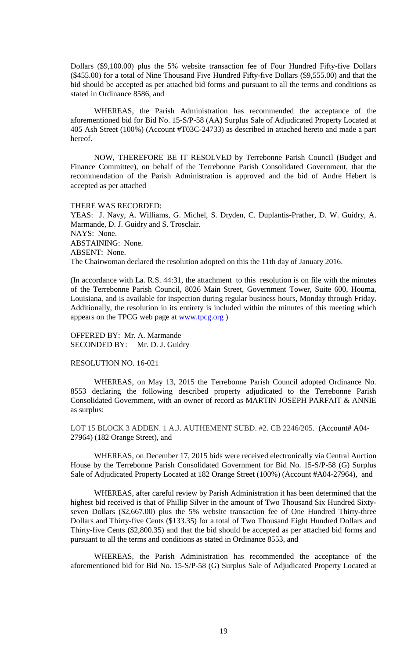Dollars (\$9,100.00) plus the 5% website transaction fee of Four Hundred Fifty-five Dollars (\$455.00) for a total of Nine Thousand Five Hundred Fifty-five Dollars (\$9,555.00) and that the bid should be accepted as per attached bid forms and pursuant to all the terms and conditions as stated in Ordinance 8586, and

WHEREAS, the Parish Administration has recommended the acceptance of the aforementioned bid for Bid No. 15-S/P-58 (AA) Surplus Sale of Adjudicated Property Located at 405 Ash Street (100%) (Account #T03C-24733) as described in attached hereto and made a part hereof.

NOW, THEREFORE BE IT RESOLVED by Terrebonne Parish Council (Budget and Finance Committee), on behalf of the Terrebonne Parish Consolidated Government, that the recommendation of the Parish Administration is approved and the bid of Andre Hebert is accepted as per attached

THERE WAS RECORDED:

YEAS: J. Navy, A. Williams, G. Michel, S. Dryden, C. Duplantis-Prather, D. W. Guidry, A. Marmande, D. J. Guidry and S. Trosclair. NAYS: None. ABSTAINING: None. ABSENT: None. The Chairwoman declared the resolution adopted on this the 11th day of January 2016.

(In accordance with La. R.S. 44:31, the attachment to this resolution is on file with the minutes of the Terrebonne Parish Council, 8026 Main Street, Government Tower, Suite 600, Houma, Louisiana, and is available for inspection during regular business hours, Monday through Friday. Additionally, the resolution in its entirety is included within the minutes of this meeting which appears on the TPCG web page at **www.tpcg.org** )

OFFERED BY: Mr. A. Marmande SECONDED BY: Mr. D. J. Guidry

## RESOLUTION NO. 16-021

WHEREAS, on May 13, 2015 the Terrebonne Parish Council adopted Ordinance No. 8553 declaring the following described property adjudicated to the Terrebonne Parish Consolidated Government, with an owner of record as MARTIN JOSEPH PARFAIT & ANNIE as surplus:

LOT 15 BLOCK 3 ADDEN. 1 A.J. AUTHEMENT SUBD. #2. CB 2246/205. (Account# A04- 27964) (182 Orange Street), and

WHEREAS, on December 17, 2015 bids were received electronically via Central Auction House by the Terrebonne Parish Consolidated Government for Bid No. 15-S/P-58 (G) Surplus Sale of Adjudicated Property Located at 182 Orange Street (100%) (Account #A04-27964), and

WHEREAS, after careful review by Parish Administration it has been determined that the highest bid received is that of Phillip Silver in the amount of Two Thousand Six Hundred Sixtyseven Dollars (\$2,667.00) plus the 5% website transaction fee of One Hundred Thirty-three Dollars and Thirty-five Cents (\$133.35) for a total of Two Thousand Eight Hundred Dollars and Thirty-five Cents (\$2,800.35) and that the bid should be accepted as per attached bid forms and pursuant to all the terms and conditions as stated in Ordinance 8553, and

WHEREAS, the Parish Administration has recommended the acceptance of the aforementioned bid for Bid No. 15-S/P-58 (G) Surplus Sale of Adjudicated Property Located at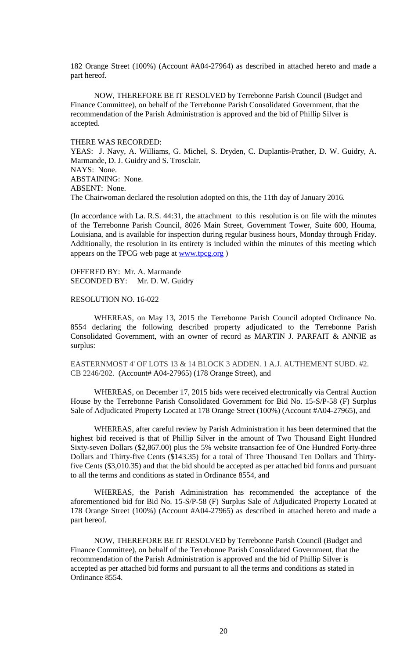182 Orange Street (100%) (Account #A04-27964) as described in attached hereto and made a part hereof.

NOW, THEREFORE BE IT RESOLVED by Terrebonne Parish Council (Budget and Finance Committee), on behalf of the Terrebonne Parish Consolidated Government, that the recommendation of the Parish Administration is approved and the bid of Phillip Silver is accepted.

#### THERE WAS RECORDED:

YEAS: J. Navy, A. Williams, G. Michel, S. Dryden, C. Duplantis-Prather, D. W. Guidry, A. Marmande, D. J. Guidry and S. Trosclair. NAYS: None. ABSTAINING: None. ABSENT: None. The Chairwoman declared the resolution adopted on this, the 11th day of January 2016.

(In accordance with La. R.S. 44:31, the attachment to this resolution is on file with the minutes of the Terrebonne Parish Council, 8026 Main Street, Government Tower, Suite 600, Houma, Louisiana, and is available for inspection during regular business hours, Monday through Friday. Additionally, the resolution in its entirety is included within the minutes of this meeting which appears on the TPCG web page at [www.tpcg.org](http://www.tpcg.org/) )

OFFERED BY: Mr. A. Marmande SECONDED BY: Mr. D. W. Guidry

### RESOLUTION NO. 16-022

WHEREAS, on May 13, 2015 the Terrebonne Parish Council adopted Ordinance No. 8554 declaring the following described property adjudicated to the Terrebonne Parish Consolidated Government, with an owner of record as MARTIN J. PARFAIT & ANNIE as surplus:

EASTERNMOST 4' OF LOTS 13 & 14 BLOCK 3 ADDEN. 1 A.J. AUTHEMENT SUBD. #2. CB 2246/202. (Account# A04-27965) (178 Orange Street), and

WHEREAS, on December 17, 2015 bids were received electronically via Central Auction House by the Terrebonne Parish Consolidated Government for Bid No. 15-S/P-58 (F) Surplus Sale of Adjudicated Property Located at 178 Orange Street (100%) (Account #A04-27965), and

WHEREAS, after careful review by Parish Administration it has been determined that the highest bid received is that of Phillip Silver in the amount of Two Thousand Eight Hundred Sixty-seven Dollars (\$2,867.00) plus the 5% website transaction fee of One Hundred Forty-three Dollars and Thirty-five Cents (\$143.35) for a total of Three Thousand Ten Dollars and Thirtyfive Cents (\$3,010.35) and that the bid should be accepted as per attached bid forms and pursuant to all the terms and conditions as stated in Ordinance 8554, and

WHEREAS, the Parish Administration has recommended the acceptance of the aforementioned bid for Bid No. 15-S/P-58 (F) Surplus Sale of Adjudicated Property Located at 178 Orange Street (100%) (Account #A04-27965) as described in attached hereto and made a part hereof.

NOW, THEREFORE BE IT RESOLVED by Terrebonne Parish Council (Budget and Finance Committee), on behalf of the Terrebonne Parish Consolidated Government, that the recommendation of the Parish Administration is approved and the bid of Phillip Silver is accepted as per attached bid forms and pursuant to all the terms and conditions as stated in Ordinance 8554.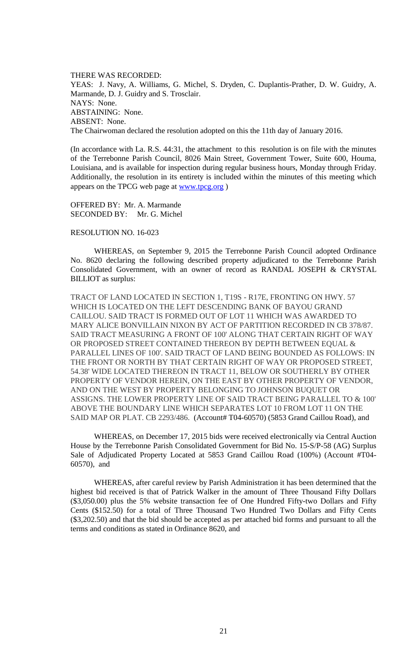THERE WAS RECORDED: YEAS: J. Navy, A. Williams, G. Michel, S. Dryden, C. Duplantis-Prather, D. W. Guidry, A. Marmande, D. J. Guidry and S. Trosclair. NAYS: None. ABSTAINING: None. ABSENT: None. The Chairwoman declared the resolution adopted on this the 11th day of January 2016.

(In accordance with La. R.S. 44:31, the attachment to this resolution is on file with the minutes of the Terrebonne Parish Council, 8026 Main Street, Government Tower, Suite 600, Houma, Louisiana, and is available for inspection during regular business hours, Monday through Friday. Additionally, the resolution in its entirety is included within the minutes of this meeting which appears on the TPCG web page at [www.tpcg.org](http://www.tpcg.org/) )

OFFERED BY: Mr. A. Marmande SECONDED BY: Mr. G. Michel

#### RESOLUTION NO. 16-023

WHEREAS, on September 9, 2015 the Terrebonne Parish Council adopted Ordinance No. 8620 declaring the following described property adjudicated to the Terrebonne Parish Consolidated Government, with an owner of record as RANDAL JOSEPH & CRYSTAL BILLIOT as surplus:

TRACT OF LAND LOCATED IN SECTION 1, T19S - R17E, FRONTING ON HWY. 57 WHICH IS LOCATED ON THE LEFT DESCENDING BANK OF BAYOU GRAND CAILLOU. SAID TRACT IS FORMED OUT OF LOT 11 WHICH WAS AWARDED TO MARY ALICE BONVILLAIN NIXON BY ACT OF PARTITION RECORDED IN CB 378/87. SAID TRACT MEASURING A FRONT OF 100' ALONG THAT CERTAIN RIGHT OF WAY OR PROPOSED STREET CONTAINED THEREON BY DEPTH BETWEEN EQUAL & PARALLEL LINES OF 100'. SAID TRACT OF LAND BEING BOUNDED AS FOLLOWS: IN THE FRONT OR NORTH BY THAT CERTAIN RIGHT OF WAY OR PROPOSED STREET, 54.38' WIDE LOCATED THEREON IN TRACT 11, BELOW OR SOUTHERLY BY OTHER PROPERTY OF VENDOR HEREIN, ON THE EAST BY OTHER PROPERTY OF VENDOR, AND ON THE WEST BY PROPERTY BELONGING TO JOHNSON BUQUET OR ASSIGNS. THE LOWER PROPERTY LINE OF SAID TRACT BEING PARALLEL TO & 100' ABOVE THE BOUNDARY LINE WHICH SEPARATES LOT 10 FROM LOT 11 ON THE SAID MAP OR PLAT. CB 2293/486. (Account# T04-60570) (5853 Grand Caillou Road), and

WHEREAS, on December 17, 2015 bids were received electronically via Central Auction House by the Terrebonne Parish Consolidated Government for Bid No. 15-S/P-58 (AG) Surplus Sale of Adjudicated Property Located at 5853 Grand Caillou Road (100%) (Account #T04- 60570), and

WHEREAS, after careful review by Parish Administration it has been determined that the highest bid received is that of Patrick Walker in the amount of Three Thousand Fifty Dollars (\$3,050.00) plus the 5% website transaction fee of One Hundred Fifty-two Dollars and Fifty Cents (\$152.50) for a total of Three Thousand Two Hundred Two Dollars and Fifty Cents (\$3,202.50) and that the bid should be accepted as per attached bid forms and pursuant to all the terms and conditions as stated in Ordinance 8620, and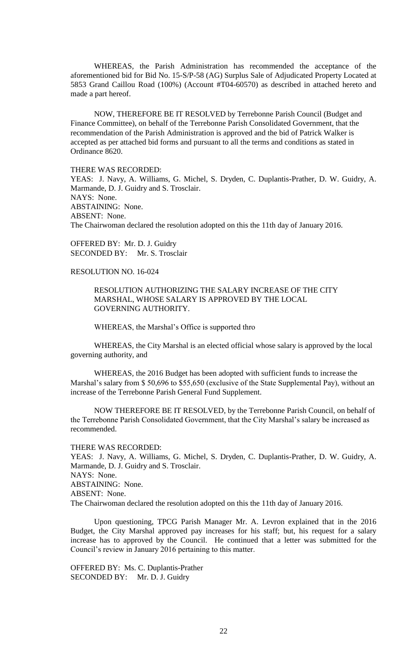WHEREAS, the Parish Administration has recommended the acceptance of the aforementioned bid for Bid No. 15-S/P-58 (AG) Surplus Sale of Adjudicated Property Located at 5853 Grand Caillou Road (100%) (Account #T04-60570) as described in attached hereto and made a part hereof.

NOW, THEREFORE BE IT RESOLVED by Terrebonne Parish Council (Budget and Finance Committee), on behalf of the Terrebonne Parish Consolidated Government, that the recommendation of the Parish Administration is approved and the bid of Patrick Walker is accepted as per attached bid forms and pursuant to all the terms and conditions as stated in Ordinance 8620.

THERE WAS RECORDED:

YEAS: J. Navy, A. Williams, G. Michel, S. Dryden, C. Duplantis-Prather, D. W. Guidry, A. Marmande, D. J. Guidry and S. Trosclair. NAYS: None. ABSTAINING: None. ABSENT: None. The Chairwoman declared the resolution adopted on this the 11th day of January 2016.

OFFERED BY: Mr. D. J. Guidry SECONDED BY: Mr. S. Trosclair

# RESOLUTION NO. 16-024

RESOLUTION AUTHORIZING THE SALARY INCREASE OF THE CITY MARSHAL, WHOSE SALARY IS APPROVED BY THE LOCAL GOVERNING AUTHORITY.

WHEREAS, the Marshal's Office is supported thro

WHEREAS, the City Marshal is an elected official whose salary is approved by the local governing authority, and

WHEREAS, the 2016 Budget has been adopted with sufficient funds to increase the Marshal's salary from \$ 50,696 to \$55,650 (exclusive of the State Supplemental Pay), without an increase of the Terrebonne Parish General Fund Supplement.

NOW THEREFORE BE IT RESOLVED, by the Terrebonne Parish Council, on behalf of the Terrebonne Parish Consolidated Government, that the City Marshal's salary be increased as recommended.

### THERE WAS RECORDED:

YEAS: J. Navy, A. Williams, G. Michel, S. Dryden, C. Duplantis-Prather, D. W. Guidry, A. Marmande, D. J. Guidry and S. Trosclair. NAYS: None. ABSTAINING: None. ABSENT: None. The Chairwoman declared the resolution adopted on this the 11th day of January 2016.

Upon questioning, TPCG Parish Manager Mr. A. Levron explained that in the 2016 Budget, the City Marshal approved pay increases for his staff; but, his request for a salary increase has to approved by the Council. He continued that a letter was submitted for the Council's review in January 2016 pertaining to this matter.

OFFERED BY: Ms. C. Duplantis-Prather SECONDED BY: Mr. D. J. Guidry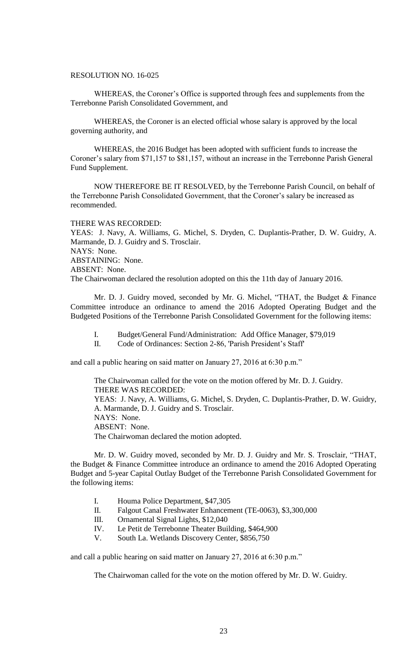### RESOLUTION NO. 16-025

WHEREAS, the Coroner's Office is supported through fees and supplements from the Terrebonne Parish Consolidated Government, and

WHEREAS, the Coroner is an elected official whose salary is approved by the local governing authority, and

WHEREAS, the 2016 Budget has been adopted with sufficient funds to increase the Coroner's salary from \$71,157 to \$81,157, without an increase in the Terrebonne Parish General Fund Supplement.

NOW THEREFORE BE IT RESOLVED, by the Terrebonne Parish Council, on behalf of the Terrebonne Parish Consolidated Government, that the Coroner's salary be increased as recommended.

#### THERE WAS RECORDED:

YEAS: J. Navy, A. Williams, G. Michel, S. Dryden, C. Duplantis-Prather, D. W. Guidry, A. Marmande, D. J. Guidry and S. Trosclair. NAYS: None. ABSTAINING: None. ABSENT: None. The Chairwoman declared the resolution adopted on this the 11th day of January 2016.

Mr. D. J. Guidry moved, seconded by Mr. G. Michel, "THAT, the Budget & Finance Committee introduce an ordinance to amend the 2016 Adopted Operating Budget and the Budgeted Positions of the Terrebonne Parish Consolidated Government for the following items:

I. Budget/General Fund/Administration: Add Office Manager, \$79,019

II. Code of Ordinances: Section 2-86, 'Parish President's Staff'

and call a public hearing on said matter on January 27, 2016 at 6:30 p.m."

The Chairwoman called for the vote on the motion offered by Mr. D. J. Guidry. THERE WAS RECORDED: YEAS: J. Navy, A. Williams, G. Michel, S. Dryden, C. Duplantis-Prather, D. W. Guidry, A. Marmande, D. J. Guidry and S. Trosclair. NAYS: None. ABSENT: None. The Chairwoman declared the motion adopted.

Mr. D. W. Guidry moved, seconded by Mr. D. J. Guidry and Mr. S. Trosclair, "THAT, the Budget & Finance Committee introduce an ordinance to amend the 2016 Adopted Operating Budget and 5-year Capital Outlay Budget of the Terrebonne Parish Consolidated Government for the following items:

- I. Houma Police Department, \$47,305
- II. Falgout Canal Freshwater Enhancement (TE-0063), \$3,300,000
- III. Ornamental Signal Lights, \$12,040
- IV. Le Petit de Terrebonne Theater Building, \$464,900
- V. South La. Wetlands Discovery Center, \$856,750

and call a public hearing on said matter on January 27, 2016 at 6:30 p.m."

The Chairwoman called for the vote on the motion offered by Mr. D. W. Guidry.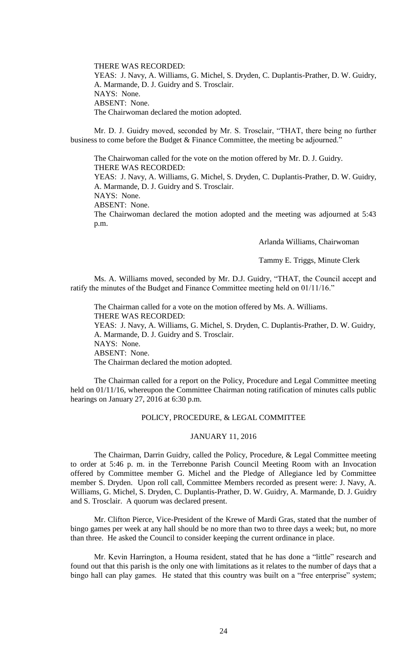THERE WAS RECORDED: YEAS: J. Navy, A. Williams, G. Michel, S. Dryden, C. Duplantis-Prather, D. W. Guidry, A. Marmande, D. J. Guidry and S. Trosclair. NAYS: None. ABSENT: None. The Chairwoman declared the motion adopted.

Mr. D. J. Guidry moved, seconded by Mr. S. Trosclair, "THAT, there being no further business to come before the Budget & Finance Committee, the meeting be adjourned."

The Chairwoman called for the vote on the motion offered by Mr. D. J. Guidry. THERE WAS RECORDED:

YEAS: J. Navy, A. Williams, G. Michel, S. Dryden, C. Duplantis-Prather, D. W. Guidry, A. Marmande, D. J. Guidry and S. Trosclair.

NAYS: None.

ABSENT: None.

The Chairwoman declared the motion adopted and the meeting was adjourned at 5:43 p.m.

Arlanda Williams, Chairwoman

Tammy E. Triggs, Minute Clerk

Ms. A. Williams moved, seconded by Mr. D.J. Guidry, "THAT, the Council accept and ratify the minutes of the Budget and Finance Committee meeting held on 01/11/16."

The Chairman called for a vote on the motion offered by Ms. A. Williams. THERE WAS RECORDED: YEAS: J. Navy, A. Williams, G. Michel, S. Dryden, C. Duplantis-Prather, D. W. Guidry,

A. Marmande, D. J. Guidry and S. Trosclair. NAYS: None.

ABSENT: None.

The Chairman declared the motion adopted.

The Chairman called for a report on the Policy, Procedure and Legal Committee meeting held on 01/11/16, whereupon the Committee Chairman noting ratification of minutes calls public hearings on January 27, 2016 at 6:30 p.m.

# POLICY, PROCEDURE, & LEGAL COMMITTEE

## JANUARY 11, 2016

The Chairman, Darrin Guidry, called the Policy, Procedure, & Legal Committee meeting to order at 5:46 p. m. in the Terrebonne Parish Council Meeting Room with an Invocation offered by Committee member G. Michel and the Pledge of Allegiance led by Committee member S. Dryden. Upon roll call, Committee Members recorded as present were: J. Navy, A. Williams, G. Michel, S. Dryden, C. Duplantis-Prather, D. W. Guidry, A. Marmande, D. J. Guidry and S. Trosclair. A quorum was declared present.

Mr. Clifton Pierce, Vice-President of the Krewe of Mardi Gras, stated that the number of bingo games per week at any hall should be no more than two to three days a week; but, no more than three. He asked the Council to consider keeping the current ordinance in place.

Mr. Kevin Harrington, a Houma resident, stated that he has done a "little" research and found out that this parish is the only one with limitations as it relates to the number of days that a bingo hall can play games. He stated that this country was built on a "free enterprise" system;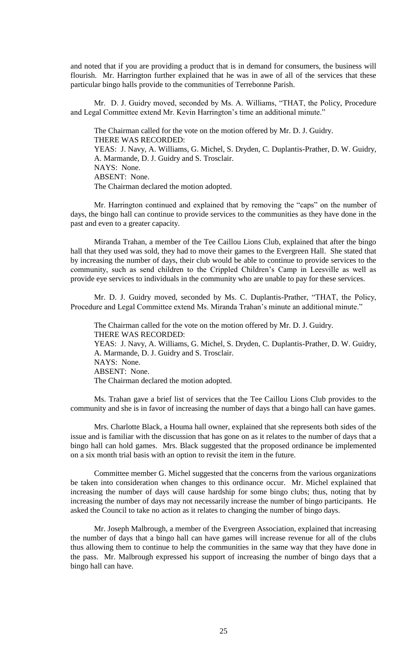and noted that if you are providing a product that is in demand for consumers, the business will flourish. Mr. Harrington further explained that he was in awe of all of the services that these particular bingo halls provide to the communities of Terrebonne Parish.

Mr. D. J. Guidry moved, seconded by Ms. A. Williams, "THAT, the Policy, Procedure and Legal Committee extend Mr. Kevin Harrington's time an additional minute."

The Chairman called for the vote on the motion offered by Mr. D. J. Guidry. THERE WAS RECORDED: YEAS: J. Navy, A. Williams, G. Michel, S. Dryden, C. Duplantis-Prather, D. W. Guidry, A. Marmande, D. J. Guidry and S. Trosclair. NAYS: None. ABSENT: None. The Chairman declared the motion adopted.

Mr. Harrington continued and explained that by removing the "caps" on the number of days, the bingo hall can continue to provide services to the communities as they have done in the past and even to a greater capacity.

Miranda Trahan, a member of the Tee Caillou Lions Club, explained that after the bingo hall that they used was sold, they had to move their games to the Evergreen Hall. She stated that by increasing the number of days, their club would be able to continue to provide services to the community, such as send children to the Crippled Children's Camp in Leesville as well as provide eye services to individuals in the community who are unable to pay for these services.

Mr. D. J. Guidry moved, seconded by Ms. C. Duplantis-Prather, "THAT, the Policy, Procedure and Legal Committee extend Ms. Miranda Trahan's minute an additional minute."

The Chairman called for the vote on the motion offered by Mr. D. J. Guidry. THERE WAS RECORDED: YEAS: J. Navy, A. Williams, G. Michel, S. Dryden, C. Duplantis-Prather, D. W. Guidry, A. Marmande, D. J. Guidry and S. Trosclair. NAYS: None. ABSENT: None. The Chairman declared the motion adopted.

Ms. Trahan gave a brief list of services that the Tee Caillou Lions Club provides to the community and she is in favor of increasing the number of days that a bingo hall can have games.

Mrs. Charlotte Black, a Houma hall owner, explained that she represents both sides of the issue and is familiar with the discussion that has gone on as it relates to the number of days that a bingo hall can hold games. Mrs. Black suggested that the proposed ordinance be implemented on a six month trial basis with an option to revisit the item in the future.

Committee member G. Michel suggested that the concerns from the various organizations be taken into consideration when changes to this ordinance occur. Mr. Michel explained that increasing the number of days will cause hardship for some bingo clubs; thus, noting that by increasing the number of days may not necessarily increase the number of bingo participants. He asked the Council to take no action as it relates to changing the number of bingo days.

Mr. Joseph Malbrough, a member of the Evergreen Association, explained that increasing the number of days that a bingo hall can have games will increase revenue for all of the clubs thus allowing them to continue to help the communities in the same way that they have done in the pass. Mr. Malbrough expressed his support of increasing the number of bingo days that a bingo hall can have.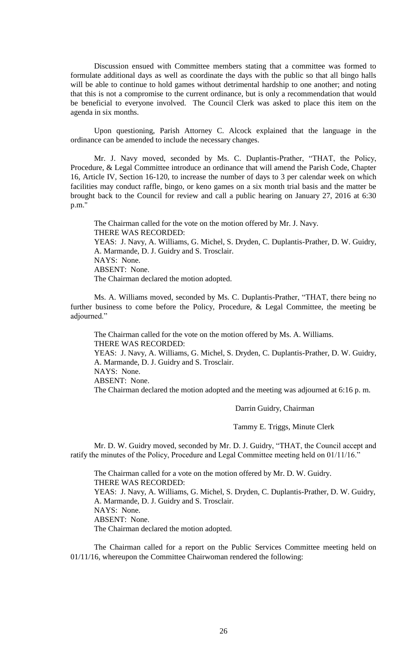Discussion ensued with Committee members stating that a committee was formed to formulate additional days as well as coordinate the days with the public so that all bingo halls will be able to continue to hold games without detrimental hardship to one another; and noting that this is not a compromise to the current ordinance, but is only a recommendation that would be beneficial to everyone involved. The Council Clerk was asked to place this item on the agenda in six months.

Upon questioning, Parish Attorney C. Alcock explained that the language in the ordinance can be amended to include the necessary changes.

Mr. J. Navy moved, seconded by Ms. C. Duplantis-Prather, "THAT, the Policy, Procedure, & Legal Committee introduce an ordinance that will amend the Parish Code, Chapter 16, Article IV, Section 16-120, to increase the number of days to 3 per calendar week on which facilities may conduct raffle, bingo, or keno games on a six month trial basis and the matter be brought back to the Council for review and call a public hearing on January 27, 2016 at 6:30 p.m."

The Chairman called for the vote on the motion offered by Mr. J. Navy. THERE WAS RECORDED: YEAS: J. Navy, A. Williams, G. Michel, S. Dryden, C. Duplantis-Prather, D. W. Guidry, A. Marmande, D. J. Guidry and S. Trosclair. NAYS: None. ABSENT: None. The Chairman declared the motion adopted.

Ms. A. Williams moved, seconded by Ms. C. Duplantis-Prather, "THAT, there being no further business to come before the Policy, Procedure, & Legal Committee, the meeting be adjourned."

The Chairman called for the vote on the motion offered by Ms. A. Williams. THERE WAS RECORDED:

YEAS: J. Navy, A. Williams, G. Michel, S. Dryden, C. Duplantis-Prather, D. W. Guidry, A. Marmande, D. J. Guidry and S. Trosclair. NAYS: None. ABSENT: None.

The Chairman declared the motion adopted and the meeting was adjourned at 6:16 p. m.

Darrin Guidry, Chairman

Tammy E. Triggs, Minute Clerk

Mr. D. W. Guidry moved, seconded by Mr. D. J. Guidry, "THAT, the Council accept and ratify the minutes of the Policy, Procedure and Legal Committee meeting held on 01/11/16."

The Chairman called for a vote on the motion offered by Mr. D. W. Guidry. THERE WAS RECORDED: YEAS: J. Navy, A. Williams, G. Michel, S. Dryden, C. Duplantis-Prather, D. W. Guidry, A. Marmande, D. J. Guidry and S. Trosclair. NAYS: None. ABSENT: None. The Chairman declared the motion adopted.

The Chairman called for a report on the Public Services Committee meeting held on 01/11/16, whereupon the Committee Chairwoman rendered the following: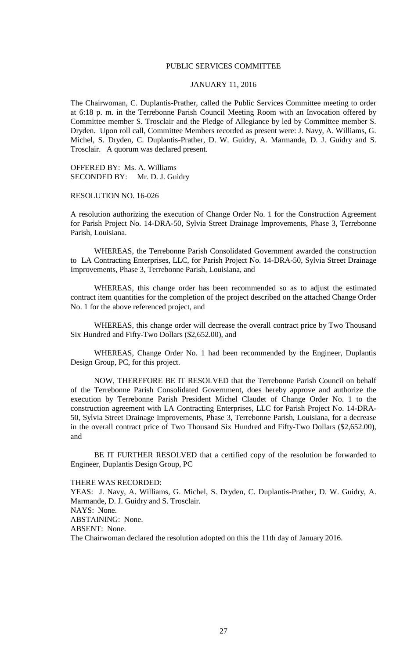### PUBLIC SERVICES COMMITTEE

## JANUARY 11, 2016

The Chairwoman, C. Duplantis-Prather, called the Public Services Committee meeting to order at 6:18 p. m. in the Terrebonne Parish Council Meeting Room with an Invocation offered by Committee member S. Trosclair and the Pledge of Allegiance by led by Committee member S. Dryden. Upon roll call, Committee Members recorded as present were: J. Navy, A. Williams, G. Michel, S. Dryden, C. Duplantis-Prather, D. W. Guidry, A. Marmande, D. J. Guidry and S. Trosclair. A quorum was declared present.

OFFERED BY: Ms. A. Williams SECONDED BY: Mr. D. J. Guidry

RESOLUTION NO. 16-026

A resolution authorizing the execution of Change Order No. 1 for the Construction Agreement for Parish Project No. 14-DRA-50, Sylvia Street Drainage Improvements, Phase 3, Terrebonne Parish, Louisiana.

WHEREAS, the Terrebonne Parish Consolidated Government awarded the construction to LA Contracting Enterprises, LLC, for Parish Project No. 14-DRA-50, Sylvia Street Drainage Improvements, Phase 3, Terrebonne Parish, Louisiana, and

WHEREAS, this change order has been recommended so as to adjust the estimated contract item quantities for the completion of the project described on the attached Change Order No. 1 for the above referenced project, and

WHEREAS, this change order will decrease the overall contract price by Two Thousand Six Hundred and Fifty-Two Dollars (\$2,652.00), and

WHEREAS, Change Order No. 1 had been recommended by the Engineer, Duplantis Design Group, PC, for this project.

NOW, THEREFORE BE IT RESOLVED that the Terrebonne Parish Council on behalf of the Terrebonne Parish Consolidated Government, does hereby approve and authorize the execution by Terrebonne Parish President Michel Claudet of Change Order No. 1 to the construction agreement with LA Contracting Enterprises, LLC for Parish Project No. 14-DRA-50, Sylvia Street Drainage Improvements, Phase 3, Terrebonne Parish, Louisiana, for a decrease in the overall contract price of Two Thousand Six Hundred and Fifty-Two Dollars (\$2,652.00), and

BE IT FURTHER RESOLVED that a certified copy of the resolution be forwarded to Engineer, Duplantis Design Group, PC

THERE WAS RECORDED:

YEAS: J. Navy, A. Williams, G. Michel, S. Dryden, C. Duplantis-Prather, D. W. Guidry, A. Marmande, D. J. Guidry and S. Trosclair. NAYS: None. ABSTAINING: None. ABSENT: None.

The Chairwoman declared the resolution adopted on this the 11th day of January 2016.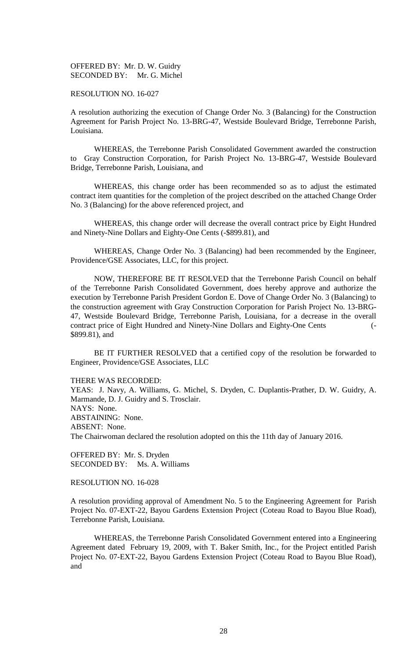OFFERED BY: Mr. D. W. Guidry SECONDED BY: Mr. G. Michel

## RESOLUTION NO. 16-027

A resolution authorizing the execution of Change Order No. 3 (Balancing) for the Construction Agreement for Parish Project No. 13-BRG-47, Westside Boulevard Bridge, Terrebonne Parish, Louisiana.

WHEREAS, the Terrebonne Parish Consolidated Government awarded the construction to Gray Construction Corporation, for Parish Project No. 13-BRG-47, Westside Boulevard Bridge, Terrebonne Parish, Louisiana, and

WHEREAS, this change order has been recommended so as to adjust the estimated contract item quantities for the completion of the project described on the attached Change Order No. 3 (Balancing) for the above referenced project, and

WHEREAS, this change order will decrease the overall contract price by Eight Hundred and Ninety-Nine Dollars and Eighty-One Cents (-\$899.81), and

WHEREAS, Change Order No. 3 (Balancing) had been recommended by the Engineer, Providence/GSE Associates, LLC, for this project.

NOW, THEREFORE BE IT RESOLVED that the Terrebonne Parish Council on behalf of the Terrebonne Parish Consolidated Government, does hereby approve and authorize the execution by Terrebonne Parish President Gordon E. Dove of Change Order No. 3 (Balancing) to the construction agreement with Gray Construction Corporation for Parish Project No. 13-BRG-47, Westside Boulevard Bridge, Terrebonne Parish, Louisiana, for a decrease in the overall contract price of Eight Hundred and Ninety-Nine Dollars and Eighty-One Cents (- \$899.81), and

BE IT FURTHER RESOLVED that a certified copy of the resolution be forwarded to Engineer, Providence/GSE Associates, LLC

THERE WAS RECORDED:

YEAS: J. Navy, A. Williams, G. Michel, S. Dryden, C. Duplantis-Prather, D. W. Guidry, A. Marmande, D. J. Guidry and S. Trosclair. NAYS: None. ABSTAINING: None. ABSENT: None. The Chairwoman declared the resolution adopted on this the 11th day of January 2016.

OFFERED BY: Mr. S. Dryden SECONDED BY: Ms. A. Williams

RESOLUTION NO. 16-028

A resolution providing approval of Amendment No. 5 to the Engineering Agreement for Parish Project No. 07-EXT-22, Bayou Gardens Extension Project (Coteau Road to Bayou Blue Road), Terrebonne Parish, Louisiana.

WHEREAS, the Terrebonne Parish Consolidated Government entered into a Engineering Agreement dated February 19, 2009, with T. Baker Smith, Inc., for the Project entitled Parish Project No. 07-EXT-22, Bayou Gardens Extension Project (Coteau Road to Bayou Blue Road), and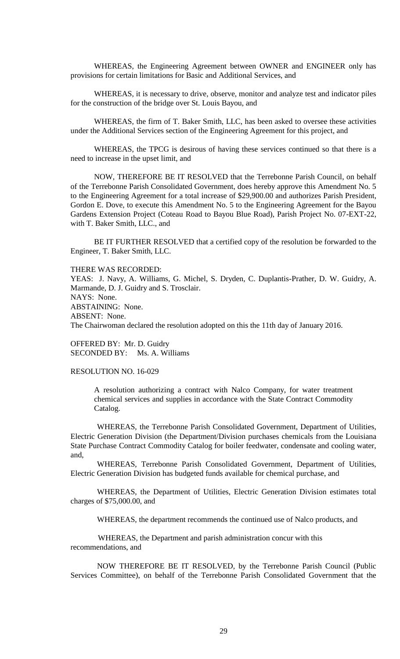WHEREAS, the Engineering Agreement between OWNER and ENGINEER only has provisions for certain limitations for Basic and Additional Services, and

WHEREAS, it is necessary to drive, observe, monitor and analyze test and indicator piles for the construction of the bridge over St. Louis Bayou, and

WHEREAS, the firm of T. Baker Smith, LLC, has been asked to oversee these activities under the Additional Services section of the Engineering Agreement for this project, and

WHEREAS, the TPCG is desirous of having these services continued so that there is a need to increase in the upset limit, and

NOW, THEREFORE BE IT RESOLVED that the Terrebonne Parish Council, on behalf of the Terrebonne Parish Consolidated Government, does hereby approve this Amendment No. 5 to the Engineering Agreement for a total increase of \$29,900.00 and authorizes Parish President, Gordon E. Dove, to execute this Amendment No. 5 to the Engineering Agreement for the Bayou Gardens Extension Project (Coteau Road to Bayou Blue Road), Parish Project No. 07-EXT-22, with T. Baker Smith, LLC., and

BE IT FURTHER RESOLVED that a certified copy of the resolution be forwarded to the Engineer, T. Baker Smith, LLC.

### THERE WAS RECORDED:

YEAS: J. Navy, A. Williams, G. Michel, S. Dryden, C. Duplantis-Prather, D. W. Guidry, A. Marmande, D. J. Guidry and S. Trosclair. NAYS: None. ABSTAINING: None. ABSENT: None. The Chairwoman declared the resolution adopted on this the 11th day of January 2016.

OFFERED BY: Mr. D. Guidry SECONDED BY: Ms. A. Williams

## RESOLUTION NO. 16-029

A resolution authorizing a contract with Nalco Company, for water treatment chemical services and supplies in accordance with the State Contract Commodity Catalog.

WHEREAS, the Terrebonne Parish Consolidated Government, Department of Utilities, Electric Generation Division (the Department/Division purchases chemicals from the Louisiana State Purchase Contract Commodity Catalog for boiler feedwater, condensate and cooling water, and,

WHEREAS, Terrebonne Parish Consolidated Government, Department of Utilities, Electric Generation Division has budgeted funds available for chemical purchase, and

WHEREAS, the Department of Utilities, Electric Generation Division estimates total charges of \$75,000.00, and

WHEREAS, the department recommends the continued use of Nalco products, and

 WHEREAS, the Department and parish administration concur with this recommendations, and

NOW THEREFORE BE IT RESOLVED, by the Terrebonne Parish Council (Public Services Committee), on behalf of the Terrebonne Parish Consolidated Government that the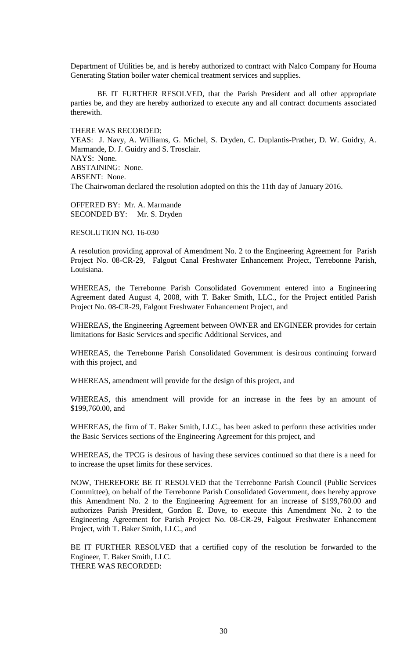Department of Utilities be, and is hereby authorized to contract with Nalco Company for Houma Generating Station boiler water chemical treatment services and supplies.

BE IT FURTHER RESOLVED, that the Parish President and all other appropriate parties be, and they are hereby authorized to execute any and all contract documents associated therewith.

## THERE WAS RECORDED:

YEAS: J. Navy, A. Williams, G. Michel, S. Dryden, C. Duplantis-Prather, D. W. Guidry, A. Marmande, D. J. Guidry and S. Trosclair. NAYS: None. ABSTAINING: None. ABSENT: None. The Chairwoman declared the resolution adopted on this the 11th day of January 2016.

OFFERED BY: Mr. A. Marmande SECONDED BY: Mr. S. Dryden

RESOLUTION NO. 16-030

A resolution providing approval of Amendment No. 2 to the Engineering Agreement for Parish Project No. 08-CR-29, Falgout Canal Freshwater Enhancement Project, Terrebonne Parish, Louisiana.

WHEREAS, the Terrebonne Parish Consolidated Government entered into a Engineering Agreement dated August 4, 2008, with T. Baker Smith, LLC., for the Project entitled Parish Project No. 08-CR-29, Falgout Freshwater Enhancement Project, and

WHEREAS, the Engineering Agreement between OWNER and ENGINEER provides for certain limitations for Basic Services and specific Additional Services, and

WHEREAS, the Terrebonne Parish Consolidated Government is desirous continuing forward with this project, and

WHEREAS, amendment will provide for the design of this project, and

WHEREAS, this amendment will provide for an increase in the fees by an amount of \$199,760.00, and

WHEREAS, the firm of T. Baker Smith, LLC., has been asked to perform these activities under the Basic Services sections of the Engineering Agreement for this project, and

WHEREAS, the TPCG is desirous of having these services continued so that there is a need for to increase the upset limits for these services.

NOW, THEREFORE BE IT RESOLVED that the Terrebonne Parish Council (Public Services Committee), on behalf of the Terrebonne Parish Consolidated Government, does hereby approve this Amendment No. 2 to the Engineering Agreement for an increase of \$199,760.00 and authorizes Parish President, Gordon E. Dove, to execute this Amendment No. 2 to the Engineering Agreement for Parish Project No. 08-CR-29, Falgout Freshwater Enhancement Project, with T. Baker Smith, LLC., and

BE IT FURTHER RESOLVED that a certified copy of the resolution be forwarded to the Engineer, T. Baker Smith, LLC. THERE WAS RECORDED: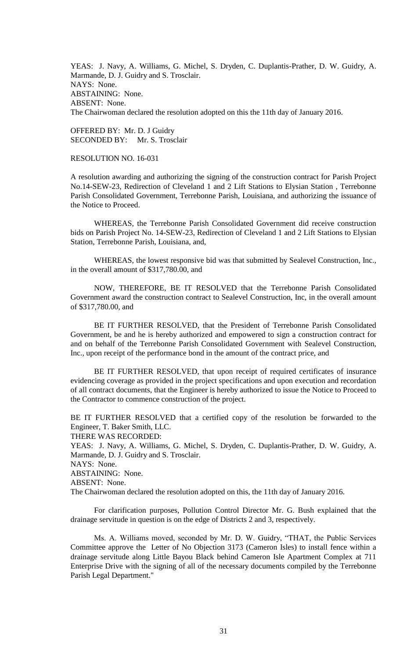YEAS: J. Navy, A. Williams, G. Michel, S. Dryden, C. Duplantis-Prather, D. W. Guidry, A. Marmande, D. J. Guidry and S. Trosclair. NAYS: None. ABSTAINING: None. ABSENT: None. The Chairwoman declared the resolution adopted on this the 11th day of January 2016.

OFFERED BY: Mr. D. J Guidry SECONDED BY: Mr. S. Trosclair

# RESOLUTION NO. 16-031

A resolution awarding and authorizing the signing of the construction contract for Parish Project No.14-SEW-23, Redirection of Cleveland 1 and 2 Lift Stations to Elysian Station , Terrebonne Parish Consolidated Government, Terrebonne Parish, Louisiana, and authorizing the issuance of the Notice to Proceed.

WHEREAS, the Terrebonne Parish Consolidated Government did receive construction bids on Parish Project No. 14-SEW-23, Redirection of Cleveland 1 and 2 Lift Stations to Elysian Station, Terrebonne Parish, Louisiana, and,

WHEREAS, the lowest responsive bid was that submitted by Sealevel Construction, Inc., in the overall amount of \$317,780.00, and

NOW, THEREFORE, BE IT RESOLVED that the Terrebonne Parish Consolidated Government award the construction contract to Sealevel Construction, Inc, in the overall amount of \$317,780.00, and

BE IT FURTHER RESOLVED, that the President of Terrebonne Parish Consolidated Government, be and he is hereby authorized and empowered to sign a construction contract for and on behalf of the Terrebonne Parish Consolidated Government with Sealevel Construction, Inc., upon receipt of the performance bond in the amount of the contract price, and

BE IT FURTHER RESOLVED, that upon receipt of required certificates of insurance evidencing coverage as provided in the project specifications and upon execution and recordation of all contract documents, that the Engineer is hereby authorized to issue the Notice to Proceed to the Contractor to commence construction of the project.

BE IT FURTHER RESOLVED that a certified copy of the resolution be forwarded to the Engineer, T. Baker Smith, LLC.

THERE WAS RECORDED:

YEAS: J. Navy, A. Williams, G. Michel, S. Dryden, C. Duplantis-Prather, D. W. Guidry, A. Marmande, D. J. Guidry and S. Trosclair.

NAYS: None.

ABSTAINING: None.

ABSENT: None.

The Chairwoman declared the resolution adopted on this, the 11th day of January 2016.

For clarification purposes, Pollution Control Director Mr. G. Bush explained that the drainage servitude in question is on the edge of Districts 2 and 3, respectively.

Ms. A. Williams moved, seconded by Mr. D. W. Guidry, "THAT, the Public Services Committee approve the Letter of No Objection 3173 (Cameron Isles) to install fence within a drainage servitude along Little Bayou Black behind Cameron Isle Apartment Complex at 711 Enterprise Drive with the signing of all of the necessary documents compiled by the Terrebonne Parish Legal Department."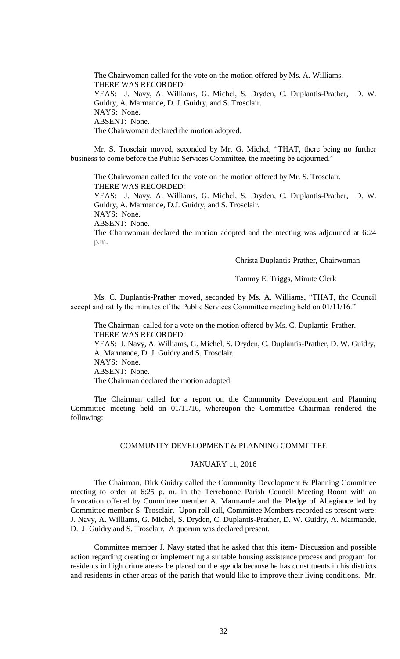The Chairwoman called for the vote on the motion offered by Ms. A. Williams. THERE WAS RECORDED: YEAS: J. Navy, A. Williams, G. Michel, S. Dryden, C. Duplantis-Prather, D. W. Guidry, A. Marmande, D. J. Guidry, and S. Trosclair. NAYS: None. ABSENT: None. The Chairwoman declared the motion adopted.

Mr. S. Trosclair moved, seconded by Mr. G. Michel, "THAT, there being no further business to come before the Public Services Committee, the meeting be adjourned."

The Chairwoman called for the vote on the motion offered by Mr. S. Trosclair. THERE WAS RECORDED:

YEAS: J. Navy, A. Williams, G. Michel, S. Dryden, C. Duplantis-Prather, D. W. Guidry, A. Marmande, D.J. Guidry, and S. Trosclair.

NAYS: None.

ABSENT: None.

The Chairwoman declared the motion adopted and the meeting was adjourned at 6:24 p.m.

Christa Duplantis-Prather, Chairwoman

### Tammy E. Triggs, Minute Clerk

Ms. C. Duplantis-Prather moved, seconded by Ms. A. Williams, "THAT, the Council accept and ratify the minutes of the Public Services Committee meeting held on 01/11/16."

The Chairman called for a vote on the motion offered by Ms. C. Duplantis-Prather. THERE WAS RECORDED: YEAS: J. Navy, A. Williams, G. Michel, S. Dryden, C. Duplantis-Prather, D. W. Guidry, A. Marmande, D. J. Guidry and S. Trosclair. NAYS: None. ABSENT: None. The Chairman declared the motion adopted.

The Chairman called for a report on the Community Development and Planning Committee meeting held on 01/11/16, whereupon the Committee Chairman rendered the following:

### COMMUNITY DEVELOPMENT & PLANNING COMMITTEE

## JANUARY 11, 2016

The Chairman, Dirk Guidry called the Community Development & Planning Committee meeting to order at 6:25 p. m. in the Terrebonne Parish Council Meeting Room with an Invocation offered by Committee member A. Marmande and the Pledge of Allegiance led by Committee member S. Trosclair. Upon roll call, Committee Members recorded as present were: J. Navy, A. Williams, G. Michel, S. Dryden, C. Duplantis-Prather, D. W. Guidry, A. Marmande, D. J. Guidry and S. Trosclair. A quorum was declared present.

Committee member J. Navy stated that he asked that this item- Discussion and possible action regarding creating or implementing a suitable housing assistance process and program for residents in high crime areas- be placed on the agenda because he has constituents in his districts and residents in other areas of the parish that would like to improve their living conditions. Mr.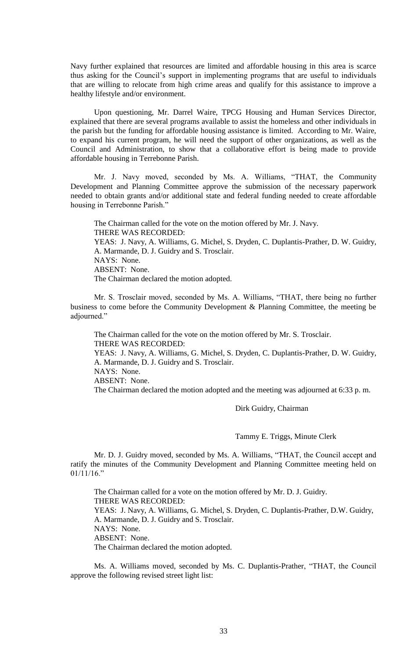Navy further explained that resources are limited and affordable housing in this area is scarce thus asking for the Council's support in implementing programs that are useful to individuals that are willing to relocate from high crime areas and qualify for this assistance to improve a healthy lifestyle and/or environment.

Upon questioning, Mr. Darrel Waire, TPCG Housing and Human Services Director, explained that there are several programs available to assist the homeless and other individuals in the parish but the funding for affordable housing assistance is limited. According to Mr. Waire, to expand his current program, he will need the support of other organizations, as well as the Council and Administration, to show that a collaborative effort is being made to provide affordable housing in Terrebonne Parish.

Mr. J. Navy moved, seconded by Ms. A. Williams, "THAT, the Community Development and Planning Committee approve the submission of the necessary paperwork needed to obtain grants and/or additional state and federal funding needed to create affordable housing in Terrebonne Parish."

The Chairman called for the vote on the motion offered by Mr. J. Navy. THERE WAS RECORDED: YEAS: J. Navy, A. Williams, G. Michel, S. Dryden, C. Duplantis-Prather, D. W. Guidry, A. Marmande, D. J. Guidry and S. Trosclair. NAYS: None. ABSENT: None. The Chairman declared the motion adopted.

Mr. S. Trosclair moved, seconded by Ms. A. Williams, "THAT, there being no further business to come before the Community Development & Planning Committee, the meeting be adjourned."

The Chairman called for the vote on the motion offered by Mr. S. Trosclair. THERE WAS RECORDED:

YEAS: J. Navy, A. Williams, G. Michel, S. Dryden, C. Duplantis-Prather, D. W. Guidry, A. Marmande, D. J. Guidry and S. Trosclair. NAYS: None. ABSENT: None.

The Chairman declared the motion adopted and the meeting was adjourned at 6:33 p. m.

Dirk Guidry, Chairman

Tammy E. Triggs, Minute Clerk

Mr. D. J. Guidry moved, seconded by Ms. A. Williams, "THAT, the Council accept and ratify the minutes of the Community Development and Planning Committee meeting held on 01/11/16."

The Chairman called for a vote on the motion offered by Mr. D. J. Guidry. THERE WAS RECORDED: YEAS: J. Navy, A. Williams, G. Michel, S. Dryden, C. Duplantis-Prather, D.W. Guidry, A. Marmande, D. J. Guidry and S. Trosclair. NAYS: None. ABSENT: None. The Chairman declared the motion adopted.

Ms. A. Williams moved, seconded by Ms. C. Duplantis-Prather, "THAT, the Council approve the following revised street light list: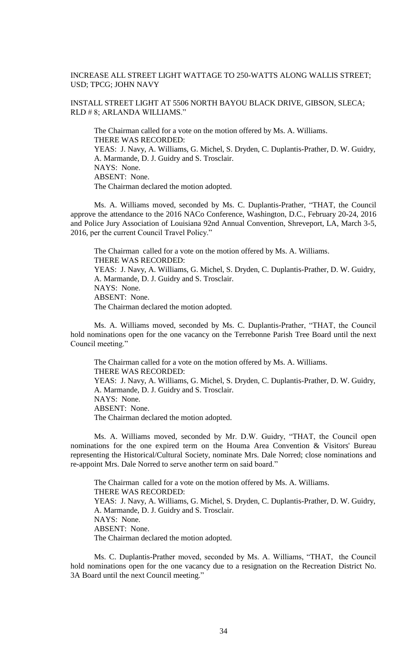# INCREASE ALL STREET LIGHT WATTAGE TO 250-WATTS ALONG WALLIS STREET; USD; TPCG; JOHN NAVY

# INSTALL STREET LIGHT AT 5506 NORTH BAYOU BLACK DRIVE, GIBSON, SLECA; RLD # 8; ARLANDA WILLIAMS."

The Chairman called for a vote on the motion offered by Ms. A. Williams. THERE WAS RECORDED: YEAS: J. Navy, A. Williams, G. Michel, S. Dryden, C. Duplantis-Prather, D. W. Guidry, A. Marmande, D. J. Guidry and S. Trosclair. NAYS: None. ABSENT: None. The Chairman declared the motion adopted.

Ms. A. Williams moved, seconded by Ms. C. Duplantis-Prather, "THAT, the Council approve the attendance to the 2016 NACo Conference, Washington, D.C., February 20-24, 2016 and Police Jury Association of Louisiana 92nd Annual Convention, Shreveport, LA, March 3-5, 2016, per the current Council Travel Policy."

The Chairman called for a vote on the motion offered by Ms. A. Williams. THERE WAS RECORDED: YEAS: J. Navy, A. Williams, G. Michel, S. Dryden, C. Duplantis-Prather, D. W. Guidry, A. Marmande, D. J. Guidry and S. Trosclair. NAYS: None. ABSENT: None. The Chairman declared the motion adopted.

Ms. A. Williams moved, seconded by Ms. C. Duplantis-Prather, "THAT, the Council hold nominations open for the one vacancy on the Terrebonne Parish Tree Board until the next Council meeting."

The Chairman called for a vote on the motion offered by Ms. A. Williams. THERE WAS RECORDED: YEAS: J. Navy, A. Williams, G. Michel, S. Dryden, C. Duplantis-Prather, D. W. Guidry, A. Marmande, D. J. Guidry and S. Trosclair. NAYS: None. ABSENT: None. The Chairman declared the motion adopted.

Ms. A. Williams moved, seconded by Mr. D.W. Guidry, "THAT, the Council open nominations for the one expired term on the Houma Area Convention & Visitors' Bureau representing the Historical/Cultural Society, nominate Mrs. Dale Norred; close nominations and re-appoint Mrs. Dale Norred to serve another term on said board."

The Chairman called for a vote on the motion offered by Ms. A. Williams. THERE WAS RECORDED: YEAS: J. Navy, A. Williams, G. Michel, S. Dryden, C. Duplantis-Prather, D. W. Guidry, A. Marmande, D. J. Guidry and S. Trosclair. NAYS: None. ABSENT: None. The Chairman declared the motion adopted.

Ms. C. Duplantis-Prather moved, seconded by Ms. A. Williams, "THAT, the Council hold nominations open for the one vacancy due to a resignation on the Recreation District No. 3A Board until the next Council meeting."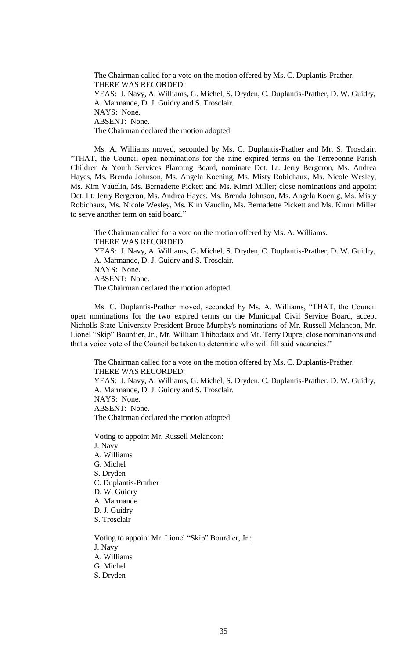The Chairman called for a vote on the motion offered by Ms. C. Duplantis-Prather. THERE WAS RECORDED: YEAS: J. Navy, A. Williams, G. Michel, S. Dryden, C. Duplantis-Prather, D. W. Guidry, A. Marmande, D. J. Guidry and S. Trosclair. NAYS: None. ABSENT: None. The Chairman declared the motion adopted.

Ms. A. Williams moved, seconded by Ms. C. Duplantis-Prather and Mr. S. Trosclair, "THAT, the Council open nominations for the nine expired terms on the Terrebonne Parish Children & Youth Services Planning Board, nominate Det. Lt. Jerry Bergeron, Ms. Andrea Hayes, Ms. Brenda Johnson, Ms. Angela Koening, Ms. Misty Robichaux, Ms. Nicole Wesley, Ms. Kim Vauclin, Ms. Bernadette Pickett and Ms. Kimri Miller; close nominations and appoint Det. Lt. Jerry Bergeron, Ms. Andrea Hayes, Ms. Brenda Johnson, Ms. Angela Koenig, Ms. Misty Robichaux, Ms. Nicole Wesley, Ms. Kim Vauclin, Ms. Bernadette Pickett and Ms. Kimri Miller to serve another term on said board."

The Chairman called for a vote on the motion offered by Ms. A. Williams. THERE WAS RECORDED: YEAS: J. Navy, A. Williams, G. Michel, S. Dryden, C. Duplantis-Prather, D. W. Guidry, A. Marmande, D. J. Guidry and S. Trosclair. NAYS: None. ABSENT: None. The Chairman declared the motion adopted.

Ms. C. Duplantis-Prather moved, seconded by Ms. A. Williams, "THAT, the Council open nominations for the two expired terms on the Municipal Civil Service Board, accept Nicholls State University President Bruce Murphy's nominations of Mr. Russell Melancon, Mr. Lionel "Skip" Bourdier, Jr., Mr. William Thibodaux and Mr. Terry Dupre; close nominations and that a voice vote of the Council be taken to determine who will fill said vacancies."

The Chairman called for a vote on the motion offered by Ms. C. Duplantis-Prather. THERE WAS RECORDED: YEAS: J. Navy, A. Williams, G. Michel, S. Dryden, C. Duplantis-Prather, D. W. Guidry, A. Marmande, D. J. Guidry and S. Trosclair. NAYS: None. ABSENT: None. The Chairman declared the motion adopted.

Voting to appoint Mr. Russell Melancon:

J. Navy A. Williams G. Michel S. Dryden C. Duplantis-Prather D. W. Guidry A. Marmande D. J. Guidry S. Trosclair Voting to appoint Mr. Lionel "Skip" Bourdier, Jr.:

J. Navy

- A. Williams
- G. Michel
- S. Dryden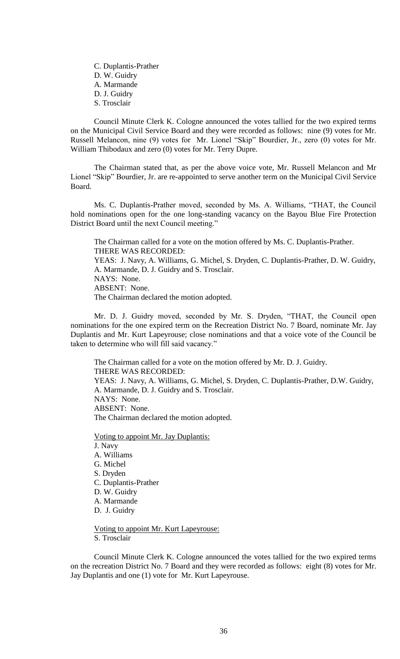C. Duplantis-Prather D. W. Guidry A. Marmande D. J. Guidry S. Trosclair

Council Minute Clerk K. Cologne announced the votes tallied for the two expired terms on the Municipal Civil Service Board and they were recorded as follows: nine (9) votes for Mr. Russell Melancon, nine (9) votes for Mr. Lionel "Skip" Bourdier, Jr., zero (0) votes for Mr. William Thibodaux and zero (0) votes for Mr. Terry Dupre.

The Chairman stated that, as per the above voice vote, Mr. Russell Melancon and Mr Lionel "Skip" Bourdier, Jr. are re-appointed to serve another term on the Municipal Civil Service Board.

Ms. C. Duplantis-Prather moved, seconded by Ms. A. Williams, "THAT, the Council hold nominations open for the one long-standing vacancy on the Bayou Blue Fire Protection District Board until the next Council meeting."

The Chairman called for a vote on the motion offered by Ms. C. Duplantis-Prather. THERE WAS RECORDED: YEAS: J. Navy, A. Williams, G. Michel, S. Dryden, C. Duplantis-Prather, D. W. Guidry, A. Marmande, D. J. Guidry and S. Trosclair. NAYS: None. ABSENT: None. The Chairman declared the motion adopted.

Mr. D. J. Guidry moved, seconded by Mr. S. Dryden, "THAT, the Council open nominations for the one expired term on the Recreation District No. 7 Board, nominate Mr. Jay Duplantis and Mr. Kurt Lapeyrouse; close nominations and that a voice vote of the Council be taken to determine who will fill said vacancy."

The Chairman called for a vote on the motion offered by Mr. D. J. Guidry. THERE WAS RECORDED: YEAS: J. Navy, A. Williams, G. Michel, S. Dryden, C. Duplantis-Prather, D.W. Guidry, A. Marmande, D. J. Guidry and S. Trosclair. NAYS: None. ABSENT: None. The Chairman declared the motion adopted.

Voting to appoint Mr. Jay Duplantis: J. Navy A. Williams G. Michel S. Dryden C. Duplantis-Prather D. W. Guidry A. Marmande D. J. Guidry

Voting to appoint Mr. Kurt Lapeyrouse: S. Trosclair

Council Minute Clerk K. Cologne announced the votes tallied for the two expired terms on the recreation District No. 7 Board and they were recorded as follows: eight (8) votes for Mr. Jay Duplantis and one (1) vote for Mr. Kurt Lapeyrouse.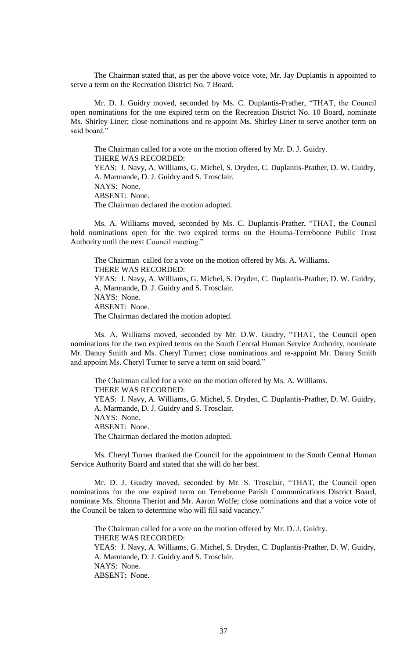The Chairman stated that, as per the above voice vote, Mr. Jay Duplantis is appointed to serve a term on the Recreation District No. 7 Board.

Mr. D. J. Guidry moved, seconded by Ms. C. Duplantis-Prather, "THAT, the Council open nominations for the one expired term on the Recreation District No. 10 Board, nominate Ms. Shirley Liner; close nominations and re-appoint Ms. Shirley Liner to serve another term on said board."

The Chairman called for a vote on the motion offered by Mr. D. J. Guidry. THERE WAS RECORDED: YEAS: J. Navy, A. Williams, G. Michel, S. Dryden, C. Duplantis-Prather, D. W. Guidry, A. Marmande, D. J. Guidry and S. Trosclair. NAYS: None. ABSENT: None. The Chairman declared the motion adopted.

Ms. A. Williams moved, seconded by Ms. C. Duplantis-Prather, "THAT, the Council hold nominations open for the two expired terms on the Houma-Terrebonne Public Trust Authority until the next Council meeting."

The Chairman called for a vote on the motion offered by Ms. A. Williams. THERE WAS RECORDED: YEAS: J. Navy, A. Williams, G. Michel, S. Dryden, C. Duplantis-Prather, D. W. Guidry, A. Marmande, D. J. Guidry and S. Trosclair. NAYS: None. ABSENT: None. The Chairman declared the motion adopted.

Ms. A. Williams moved, seconded by Mr. D.W. Guidry, "THAT, the Council open nominations for the two expired terms on the South Central Human Service Authority, nominate Mr. Danny Smith and Ms. Cheryl Turner; close nominations and re-appoint Mr. Danny Smith and appoint Ms. Cheryl Turner to serve a term on said board."

The Chairman called for a vote on the motion offered by Ms. A. Williams. THERE WAS RECORDED: YEAS: J. Navy, A. Williams, G. Michel, S. Dryden, C. Duplantis-Prather, D. W. Guidry, A. Marmande, D. J. Guidry and S. Trosclair. NAYS: None. ABSENT: None. The Chairman declared the motion adopted.

Ms. Cheryl Turner thanked the Council for the appointment to the South Central Human Service Authority Board and stated that she will do her best.

Mr. D. J. Guidry moved, seconded by Mr. S. Trosclair, "THAT, the Council open nominations for the one expired term on Terrebonne Parish Communications District Board, nominate Ms. Shonna Theriot and Mr. Aaron Wolfe; close nominations and that a voice vote of the Council be taken to determine who will fill said vacancy."

The Chairman called for a vote on the motion offered by Mr. D. J. Guidry. THERE WAS RECORDED: YEAS: J. Navy, A. Williams, G. Michel, S. Dryden, C. Duplantis-Prather, D. W. Guidry, A. Marmande, D. J. Guidry and S. Trosclair. NAYS: None. ABSENT: None.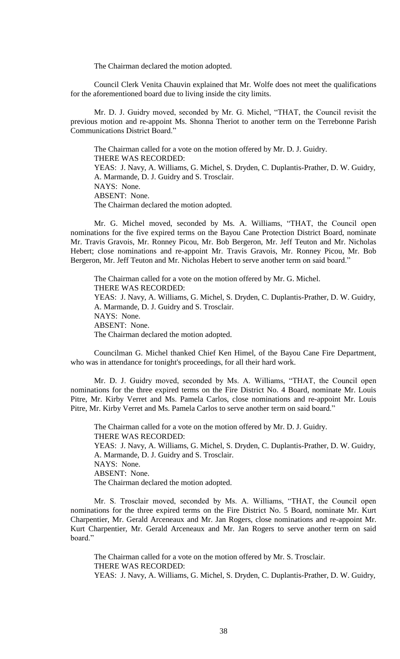The Chairman declared the motion adopted.

Council Clerk Venita Chauvin explained that Mr. Wolfe does not meet the qualifications for the aforementioned board due to living inside the city limits.

Mr. D. J. Guidry moved, seconded by Mr. G. Michel, "THAT, the Council revisit the previous motion and re-appoint Ms. Shonna Theriot to another term on the Terrebonne Parish Communications District Board."

The Chairman called for a vote on the motion offered by Mr. D. J. Guidry. THERE WAS RECORDED: YEAS: J. Navy, A. Williams, G. Michel, S. Dryden, C. Duplantis-Prather, D. W. Guidry, A. Marmande, D. J. Guidry and S. Trosclair. NAYS: None. ABSENT: None. The Chairman declared the motion adopted.

Mr. G. Michel moved, seconded by Ms. A. Williams, "THAT, the Council open nominations for the five expired terms on the Bayou Cane Protection District Board, nominate Mr. Travis Gravois, Mr. Ronney Picou, Mr. Bob Bergeron, Mr. Jeff Teuton and Mr. Nicholas Hebert; close nominations and re-appoint Mr. Travis Gravois, Mr. Ronney Picou, Mr. Bob Bergeron, Mr. Jeff Teuton and Mr. Nicholas Hebert to serve another term on said board."

The Chairman called for a vote on the motion offered by Mr. G. Michel. THERE WAS RECORDED: YEAS: J. Navy, A. Williams, G. Michel, S. Dryden, C. Duplantis-Prather, D. W. Guidry, A. Marmande, D. J. Guidry and S. Trosclair. NAYS: None. ABSENT: None. The Chairman declared the motion adopted.

Councilman G. Michel thanked Chief Ken Himel, of the Bayou Cane Fire Department, who was in attendance for tonight's proceedings, for all their hard work.

Mr. D. J. Guidry moved, seconded by Ms. A. Williams, "THAT, the Council open nominations for the three expired terms on the Fire District No. 4 Board, nominate Mr. Louis Pitre, Mr. Kirby Verret and Ms. Pamela Carlos, close nominations and re-appoint Mr. Louis Pitre, Mr. Kirby Verret and Ms. Pamela Carlos to serve another term on said board."

The Chairman called for a vote on the motion offered by Mr. D. J. Guidry. THERE WAS RECORDED: YEAS: J. Navy, A. Williams, G. Michel, S. Dryden, C. Duplantis-Prather, D. W. Guidry, A. Marmande, D. J. Guidry and S. Trosclair. NAYS: None. ABSENT: None. The Chairman declared the motion adopted.

Mr. S. Trosclair moved, seconded by Ms. A. Williams, "THAT, the Council open nominations for the three expired terms on the Fire District No. 5 Board, nominate Mr. Kurt Charpentier, Mr. Gerald Arceneaux and Mr. Jan Rogers, close nominations and re-appoint Mr. Kurt Charpentier, Mr. Gerald Arceneaux and Mr. Jan Rogers to serve another term on said board."

The Chairman called for a vote on the motion offered by Mr. S. Trosclair. THERE WAS RECORDED: YEAS: J. Navy, A. Williams, G. Michel, S. Dryden, C. Duplantis-Prather, D. W. Guidry,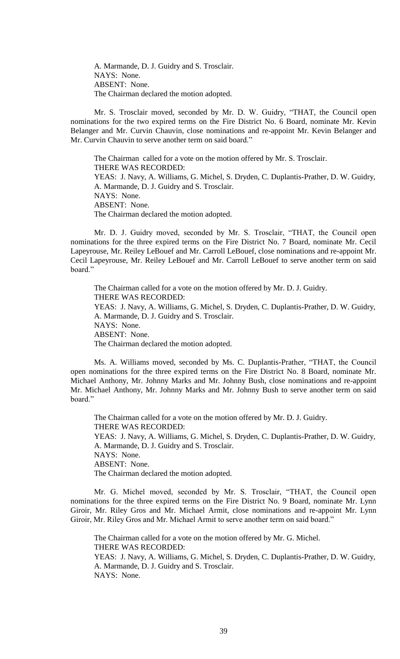A. Marmande, D. J. Guidry and S. Trosclair. NAYS: None. ABSENT: None. The Chairman declared the motion adopted.

Mr. S. Trosclair moved, seconded by Mr. D. W. Guidry, "THAT, the Council open nominations for the two expired terms on the Fire District No. 6 Board, nominate Mr. Kevin Belanger and Mr. Curvin Chauvin, close nominations and re-appoint Mr. Kevin Belanger and Mr. Curvin Chauvin to serve another term on said board."

The Chairman called for a vote on the motion offered by Mr. S. Trosclair. THERE WAS RECORDED: YEAS: J. Navy, A. Williams, G. Michel, S. Dryden, C. Duplantis-Prather, D. W. Guidry, A. Marmande, D. J. Guidry and S. Trosclair. NAYS: None. ABSENT: None. The Chairman declared the motion adopted.

Mr. D. J. Guidry moved, seconded by Mr. S. Trosclair, "THAT, the Council open nominations for the three expired terms on the Fire District No. 7 Board, nominate Mr. Cecil Lapeyrouse, Mr. Reiley LeBouef and Mr. Carroll LeBouef, close nominations and re-appoint Mr. Cecil Lapeyrouse, Mr. Reiley LeBouef and Mr. Carroll LeBouef to serve another term on said board."

The Chairman called for a vote on the motion offered by Mr. D. J. Guidry. THERE WAS RECORDED: YEAS: J. Navy, A. Williams, G. Michel, S. Dryden, C. Duplantis-Prather, D. W. Guidry, A. Marmande, D. J. Guidry and S. Trosclair. NAYS: None. ABSENT: None. The Chairman declared the motion adopted.

Ms. A. Williams moved, seconded by Ms. C. Duplantis-Prather, "THAT, the Council open nominations for the three expired terms on the Fire District No. 8 Board, nominate Mr. Michael Anthony, Mr. Johnny Marks and Mr. Johnny Bush, close nominations and re-appoint Mr. Michael Anthony, Mr. Johnny Marks and Mr. Johnny Bush to serve another term on said board."

The Chairman called for a vote on the motion offered by Mr. D. J. Guidry. THERE WAS RECORDED: YEAS: J. Navy, A. Williams, G. Michel, S. Dryden, C. Duplantis-Prather, D. W. Guidry, A. Marmande, D. J. Guidry and S. Trosclair. NAYS: None. ABSENT: None. The Chairman declared the motion adopted.

Mr. G. Michel moved, seconded by Mr. S. Trosclair, "THAT, the Council open nominations for the three expired terms on the Fire District No. 9 Board, nominate Mr. Lynn Giroir, Mr. Riley Gros and Mr. Michael Armit, close nominations and re-appoint Mr. Lynn Giroir, Mr. Riley Gros and Mr. Michael Armit to serve another term on said board."

The Chairman called for a vote on the motion offered by Mr. G. Michel. THERE WAS RECORDED: YEAS: J. Navy, A. Williams, G. Michel, S. Dryden, C. Duplantis-Prather, D. W. Guidry, A. Marmande, D. J. Guidry and S. Trosclair. NAYS: None.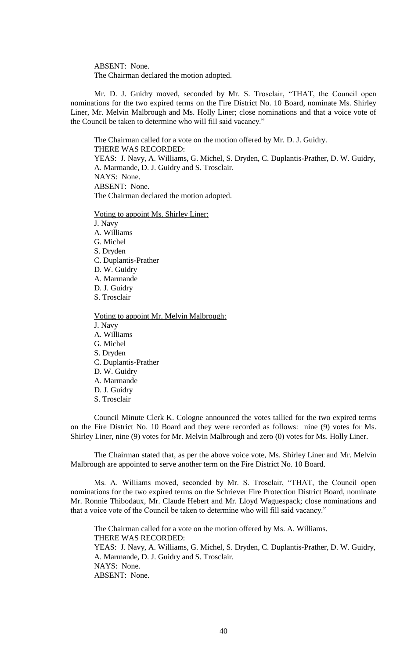ABSENT: None. The Chairman declared the motion adopted.

Mr. D. J. Guidry moved, seconded by Mr. S. Trosclair, "THAT, the Council open nominations for the two expired terms on the Fire District No. 10 Board, nominate Ms. Shirley Liner, Mr. Melvin Malbrough and Ms. Holly Liner; close nominations and that a voice vote of the Council be taken to determine who will fill said vacancy."

The Chairman called for a vote on the motion offered by Mr. D. J. Guidry. THERE WAS RECORDED: YEAS: J. Navy, A. Williams, G. Michel, S. Dryden, C. Duplantis-Prather, D. W. Guidry, A. Marmande, D. J. Guidry and S. Trosclair. NAYS: None. ABSENT: None. The Chairman declared the motion adopted.

Voting to appoint Ms. Shirley Liner:

J. Navy

A. Williams

G. Michel

S. Dryden

C. Duplantis-Prather

D. W. Guidry

A. Marmande

D. J. Guidry

S. Trosclair

Voting to appoint Mr. Melvin Malbrough:

J. Navy

A. Williams G. Michel

S. Dryden

C. Duplantis-Prather

D. W. Guidry A. Marmande

D. J. Guidry S. Trosclair

Council Minute Clerk K. Cologne announced the votes tallied for the two expired terms on the Fire District No. 10 Board and they were recorded as follows: nine (9) votes for Ms. Shirley Liner, nine (9) votes for Mr. Melvin Malbrough and zero (0) votes for Ms. Holly Liner.

The Chairman stated that, as per the above voice vote, Ms. Shirley Liner and Mr. Melvin Malbrough are appointed to serve another term on the Fire District No. 10 Board.

Ms. A. Williams moved, seconded by Mr. S. Trosclair, "THAT, the Council open nominations for the two expired terms on the Schriever Fire Protection District Board, nominate Mr. Ronnie Thibodaux, Mr. Claude Hebert and Mr. Lloyd Waguespack; close nominations and that a voice vote of the Council be taken to determine who will fill said vacancy."

The Chairman called for a vote on the motion offered by Ms. A. Williams. THERE WAS RECORDED: YEAS: J. Navy, A. Williams, G. Michel, S. Dryden, C. Duplantis-Prather, D. W. Guidry, A. Marmande, D. J. Guidry and S. Trosclair. NAYS: None. ABSENT: None.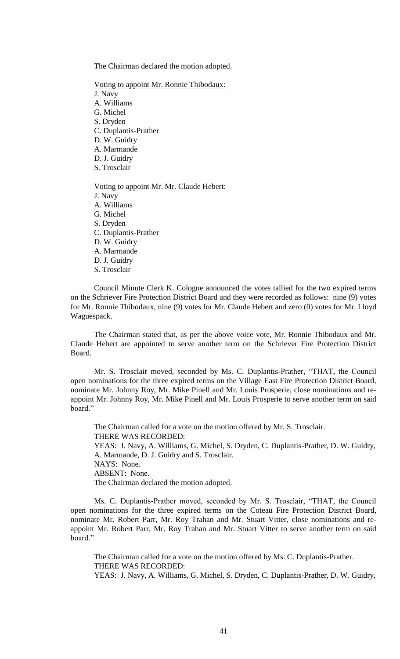The Chairman declared the motion adopted.

Voting to appoint Mr. Ronnie Thibodaux:

J. Navy A. Williams

G. Michel

S. Dryden

C. Duplantis-Prather

D. W. Guidry

A. Marmande

D. J. Guidry

S. Trosclair

Voting to appoint Mr. Mr. Claude Hebert:

J. Navy A. Williams G. Michel S. Dryden C. Duplantis-Prather D. W. Guidry A. Marmande D. J. Guidry

S. Trosclair

Council Minute Clerk K. Cologne announced the votes tallied for the two expired terms on the Schriever Fire Protection District Board and they were recorded as follows: nine (9) votes for Mr. Ronnie Thibodaux, nine (9) votes for Mr. Claude Hebert and zero (0) votes for Mr. Lloyd Waguespack.

The Chairman stated that, as per the above voice vote, Mr. Ronnie Thibodaux and Mr. Claude Hebert are appointed to serve another term on the Schriever Fire Protection District Board.

Mr. S. Trosclair moved, seconded by Ms. C. Duplantis-Prather, "THAT, the Council open nominations for the three expired terms on the Village East Fire Protection District Board, nominate Mr. Johnny Roy, Mr. Mike Pinell and Mr. Louis Prosperie, close nominations and reappoint Mr. Johnny Roy, Mr. Mike Pinell and Mr. Louis Prosperie to serve another term on said board."

The Chairman called for a vote on the motion offered by Mr. S. Trosclair. THERE WAS RECORDED: YEAS: J. Navy, A. Williams, G. Michel, S. Dryden, C. Duplantis-Prather, D. W. Guidry, A. Marmande, D. J. Guidry and S. Trosclair. NAYS: None. ABSENT: None. The Chairman declared the motion adopted.

Ms. C. Duplantis-Prather moved, seconded by Mr. S. Trosclair, "THAT, the Council open nominations for the three expired terms on the Coteau Fire Protection District Board, nominate Mr. Robert Parr, Mr. Roy Trahan and Mr. Stuart Vitter, close nominations and reappoint Mr. Robert Parr, Mr. Roy Trahan and Mr. Stuart Vitter to serve another term on said board."

The Chairman called for a vote on the motion offered by Ms. C. Duplantis-Prather. THERE WAS RECORDED:

YEAS: J. Navy, A. Williams, G. Michel, S. Dryden, C. Duplantis-Prather, D. W. Guidry,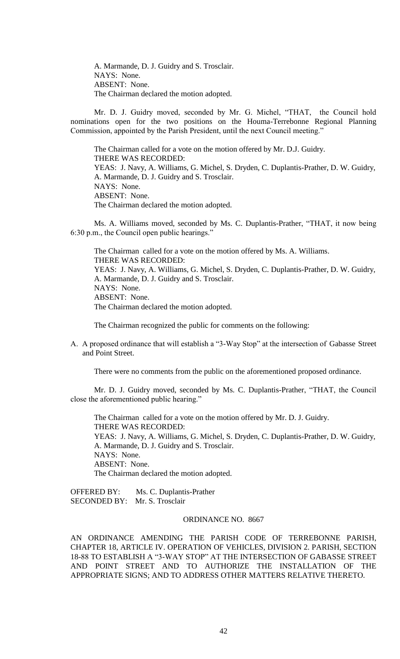A. Marmande, D. J. Guidry and S. Trosclair. NAYS: None. ABSENT: None. The Chairman declared the motion adopted.

Mr. D. J. Guidry moved, seconded by Mr. G. Michel, "THAT, the Council hold nominations open for the two positions on the Houma-Terrebonne Regional Planning Commission, appointed by the Parish President, until the next Council meeting."

The Chairman called for a vote on the motion offered by Mr. D.J. Guidry. THERE WAS RECORDED: YEAS: J. Navy, A. Williams, G. Michel, S. Dryden, C. Duplantis-Prather, D. W. Guidry, A. Marmande, D. J. Guidry and S. Trosclair. NAYS: None. ABSENT: None. The Chairman declared the motion adopted.

Ms. A. Williams moved, seconded by Ms. C. Duplantis-Prather, "THAT, it now being 6:30 p.m., the Council open public hearings."

The Chairman called for a vote on the motion offered by Ms. A. Williams. THERE WAS RECORDED: YEAS: J. Navy, A. Williams, G. Michel, S. Dryden, C. Duplantis-Prather, D. W. Guidry, A. Marmande, D. J. Guidry and S. Trosclair. NAYS: None. ABSENT: None. The Chairman declared the motion adopted.

The Chairman recognized the public for comments on the following:

A. A proposed ordinance that will establish a "3-Way Stop" at the intersection of Gabasse Street and Point Street.

There were no comments from the public on the aforementioned proposed ordinance.

Mr. D. J. Guidry moved, seconded by Ms. C. Duplantis-Prather, "THAT, the Council close the aforementioned public hearing."

The Chairman called for a vote on the motion offered by Mr. D. J. Guidry. THERE WAS RECORDED: YEAS: J. Navy, A. Williams, G. Michel, S. Dryden, C. Duplantis-Prather, D. W. Guidry, A. Marmande, D. J. Guidry and S. Trosclair. NAYS: None. ABSENT: None. The Chairman declared the motion adopted.

OFFERED BY: Ms. C. Duplantis-Prather SECONDED BY: Mr. S. Trosclair

## ORDINANCE NO. 8667

AN ORDINANCE AMENDING THE PARISH CODE OF TERREBONNE PARISH, CHAPTER 18, ARTICLE IV. OPERATION OF VEHICLES, DIVISION 2. PARISH, SECTION 18-88 TO ESTABLISH A "3-WAY STOP" AT THE INTERSECTION OF GABASSE STREET AND POINT STREET AND TO AUTHORIZE THE INSTALLATION OF THE APPROPRIATE SIGNS; AND TO ADDRESS OTHER MATTERS RELATIVE THERETO.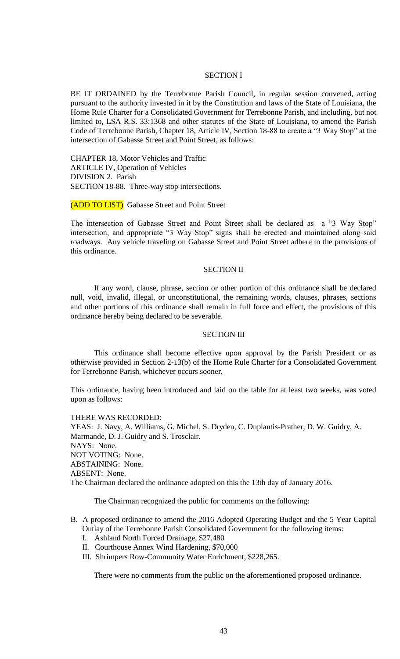## SECTION I

BE IT ORDAINED by the Terrebonne Parish Council, in regular session convened, acting pursuant to the authority invested in it by the Constitution and laws of the State of Louisiana, the Home Rule Charter for a Consolidated Government for Terrebonne Parish, and including, but not limited to, LSA R.S. 33:1368 and other statutes of the State of Louisiana, to amend the Parish Code of Terrebonne Parish, Chapter 18, Article IV, Section 18-88 to create a "3 Way Stop" at the intersection of Gabasse Street and Point Street, as follows:

CHAPTER 18, Motor Vehicles and Traffic ARTICLE IV, Operation of Vehicles DIVISION 2. Parish SECTION 18-88. Three-way stop intersections.

(ADD TO LIST) Gabasse Street and Point Street

The intersection of Gabasse Street and Point Street shall be declared as a "3 Way Stop" intersection, and appropriate "3 Way Stop" signs shall be erected and maintained along said roadways. Any vehicle traveling on Gabasse Street and Point Street adhere to the provisions of this ordinance.

#### SECTION II

If any word, clause, phrase, section or other portion of this ordinance shall be declared null, void, invalid, illegal, or unconstitutional, the remaining words, clauses, phrases, sections and other portions of this ordinance shall remain in full force and effect, the provisions of this ordinance hereby being declared to be severable.

## SECTION III

This ordinance shall become effective upon approval by the Parish President or as otherwise provided in Section 2-13(b) of the Home Rule Charter for a Consolidated Government for Terrebonne Parish, whichever occurs sooner.

This ordinance, having been introduced and laid on the table for at least two weeks, was voted upon as follows:

#### THERE WAS RECORDED:

YEAS: J. Navy, A. Williams, G. Michel, S. Dryden, C. Duplantis-Prather, D. W. Guidry, A. Marmande, D. J. Guidry and S. Trosclair. NAYS: None. NOT VOTING: None. ABSTAINING: None. ABSENT: None. The Chairman declared the ordinance adopted on this the 13th day of January 2016.

The Chairman recognized the public for comments on the following:

# B. A proposed ordinance to amend the 2016 Adopted Operating Budget and the 5 Year Capital Outlay of the Terrebonne Parish Consolidated Government for the following items:

- I. Ashland North Forced Drainage, \$27,480
- II. Courthouse Annex Wind Hardening, \$70,000
- III. Shrimpers Row-Community Water Enrichment, \$228,265.

There were no comments from the public on the aforementioned proposed ordinance.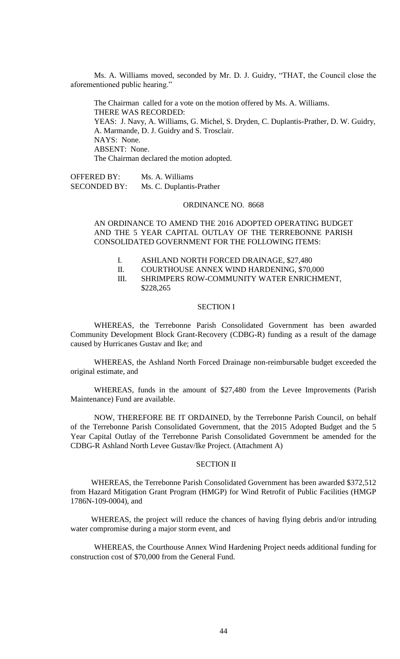Ms. A. Williams moved, seconded by Mr. D. J. Guidry, "THAT, the Council close the aforementioned public hearing."

The Chairman called for a vote on the motion offered by Ms. A. Williams. THERE WAS RECORDED: YEAS: J. Navy, A. Williams, G. Michel, S. Dryden, C. Duplantis-Prather, D. W. Guidry, A. Marmande, D. J. Guidry and S. Trosclair. NAYS: None. ABSENT: None. The Chairman declared the motion adopted.

OFFERED BY: Ms. A. Williams SECONDED BY: Ms. C. Duplantis-Prather

# ORDINANCE NO. 8668

AN ORDINANCE TO AMEND THE 2016 ADOPTED OPERATING BUDGET AND THE 5 YEAR CAPITAL OUTLAY OF THE TERREBONNE PARISH CONSOLIDATED GOVERNMENT FOR THE FOLLOWING ITEMS:

- I. ASHLAND NORTH FORCED DRAINAGE, \$27,480
- II. COURTHOUSE ANNEX WIND HARDENING, \$70,000

III. SHRIMPERS ROW-COMMUNITY WATER ENRICHMENT, \$228,265

### SECTION I

WHEREAS, the Terrebonne Parish Consolidated Government has been awarded Community Development Block Grant-Recovery (CDBG-R) funding as a result of the damage caused by Hurricanes Gustav and Ike; and

WHEREAS, the Ashland North Forced Drainage non-reimbursable budget exceeded the original estimate, and

WHEREAS, funds in the amount of \$27,480 from the Levee Improvements (Parish Maintenance) Fund are available.

NOW, THEREFORE BE IT ORDAINED, by the Terrebonne Parish Council, on behalf of the Terrebonne Parish Consolidated Government, that the 2015 Adopted Budget and the 5 Year Capital Outlay of the Terrebonne Parish Consolidated Government be amended for the CDBG-R Ashland North Levee Gustav/Ike Project. (Attachment A)

## SECTION II

WHEREAS, the Terrebonne Parish Consolidated Government has been awarded \$372,512 from Hazard Mitigation Grant Program (HMGP) for Wind Retrofit of Public Facilities (HMGP 1786N-109-0004), and

WHEREAS, the project will reduce the chances of having flying debris and/or intruding water compromise during a major storm event, and

WHEREAS, the Courthouse Annex Wind Hardening Project needs additional funding for construction cost of \$70,000 from the General Fund.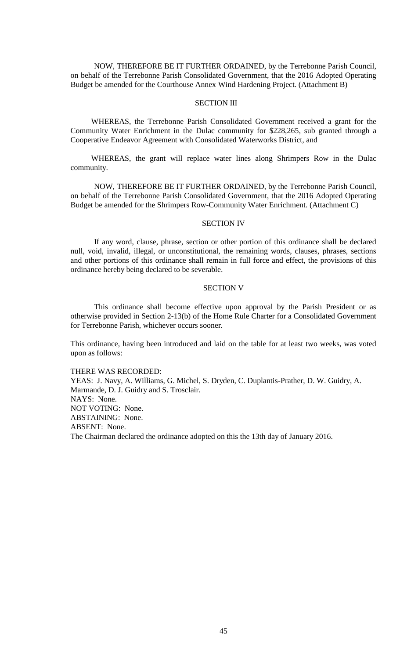NOW, THEREFORE BE IT FURTHER ORDAINED, by the Terrebonne Parish Council, on behalf of the Terrebonne Parish Consolidated Government, that the 2016 Adopted Operating Budget be amended for the Courthouse Annex Wind Hardening Project. (Attachment B)

# SECTION III

WHEREAS, the Terrebonne Parish Consolidated Government received a grant for the Community Water Enrichment in the Dulac community for \$228,265, sub granted through a Cooperative Endeavor Agreement with Consolidated Waterworks District, and

WHEREAS, the grant will replace water lines along Shrimpers Row in the Dulac community.

NOW, THEREFORE BE IT FURTHER ORDAINED, by the Terrebonne Parish Council, on behalf of the Terrebonne Parish Consolidated Government, that the 2016 Adopted Operating Budget be amended for the Shrimpers Row-Community Water Enrichment. (Attachment C)

#### SECTION IV

If any word, clause, phrase, section or other portion of this ordinance shall be declared null, void, invalid, illegal, or unconstitutional, the remaining words, clauses, phrases, sections and other portions of this ordinance shall remain in full force and effect, the provisions of this ordinance hereby being declared to be severable.

### SECTION V

This ordinance shall become effective upon approval by the Parish President or as otherwise provided in Section 2-13(b) of the Home Rule Charter for a Consolidated Government for Terrebonne Parish, whichever occurs sooner.

This ordinance, having been introduced and laid on the table for at least two weeks, was voted upon as follows:

THERE WAS RECORDED: YEAS: J. Navy, A. Williams, G. Michel, S. Dryden, C. Duplantis-Prather, D. W. Guidry, A. Marmande, D. J. Guidry and S. Trosclair. NAYS: None. NOT VOTING: None. ABSTAINING: None. ABSENT: None. The Chairman declared the ordinance adopted on this the 13th day of January 2016.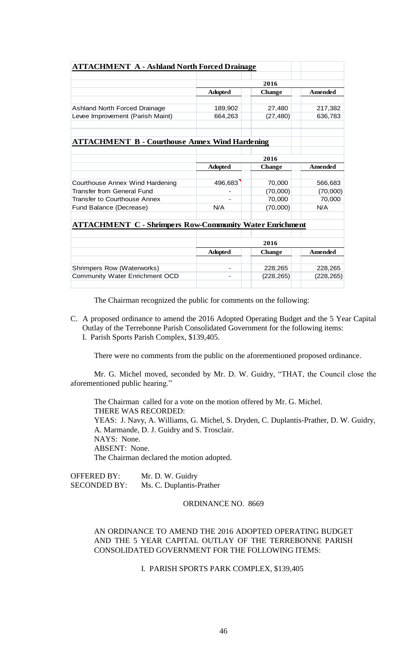| <b>ATTACHMENT A - Ashland North Forced Drainage</b>            |                |               |                |  |
|----------------------------------------------------------------|----------------|---------------|----------------|--|
|                                                                | 2016           |               |                |  |
|                                                                | <b>Adopted</b> | <b>Change</b> | <b>Amended</b> |  |
|                                                                |                |               |                |  |
| Ashland North Forced Drainage                                  | 189,902        | 27,480        | 217,382        |  |
| Levee Improvement (Parish Maint)                               | 664,263        | (27, 480)     | 636,783        |  |
|                                                                |                |               |                |  |
| <b>ATTACHMENT B - Courthouse Annex Wind Hardening</b>          |                |               |                |  |
|                                                                |                |               |                |  |
|                                                                | 2016           |               |                |  |
|                                                                | <b>Adopted</b> | <b>Change</b> | <b>Amended</b> |  |
|                                                                |                |               |                |  |
| Courthouse Annex Wind Hardening                                | 496,683        | 70,000        | 566,683        |  |
| Transfer from General Fund                                     |                | (70,000)      | (70,000)       |  |
| <b>Transfer to Courthouse Annex</b>                            |                | 70,000        | 70,000         |  |
| Fund Balance (Decrease)                                        | N/A            | (70,000)      | N/A            |  |
|                                                                |                |               |                |  |
| <b>ATTACHMENT C - Shrimpers Row-Community Water Enrichment</b> |                |               |                |  |
|                                                                |                |               |                |  |
|                                                                | 2016           |               |                |  |
|                                                                | <b>Adopted</b> | <b>Change</b> | Amended        |  |
|                                                                |                |               |                |  |
| Shrimpers Row (Waterworks)                                     |                | 228,265       | 228,265        |  |
| <b>Community Water Enrichment OCD</b>                          |                | (228, 265)    | (228, 265)     |  |
|                                                                |                |               |                |  |

The Chairman recognized the public for comments on the following:

C. A proposed ordinance to amend the 2016 Adopted Operating Budget and the 5 Year Capital Outlay of the Terrebonne Parish Consolidated Government for the following items: I. Parish Sports Parish Complex, \$139,405.

There were no comments from the public on the aforementioned proposed ordinance.

Mr. G. Michel moved, seconded by Mr. D. W. Guidry, "THAT, the Council close the aforementioned public hearing."

The Chairman called for a vote on the motion offered by Mr. G. Michel. THERE WAS RECORDED: YEAS: J. Navy, A. Williams, G. Michel, S. Dryden, C. Duplantis-Prather, D. W. Guidry, A. Marmande, D. J. Guidry and S. Trosclair. NAYS: None. ABSENT: None. The Chairman declared the motion adopted.

OFFERED BY: Mr. D. W. Guidry SECONDED BY: Ms. C. Duplantis-Prather

### ORDINANCE NO. 8669

# AN ORDINANCE TO AMEND THE 2016 ADOPTED OPERATING BUDGET AND THE 5 YEAR CAPITAL OUTLAY OF THE TERREBONNE PARISH CONSOLIDATED GOVERNMENT FOR THE FOLLOWING ITEMS:

# I. PARISH SPORTS PARK COMPLEX, \$139,405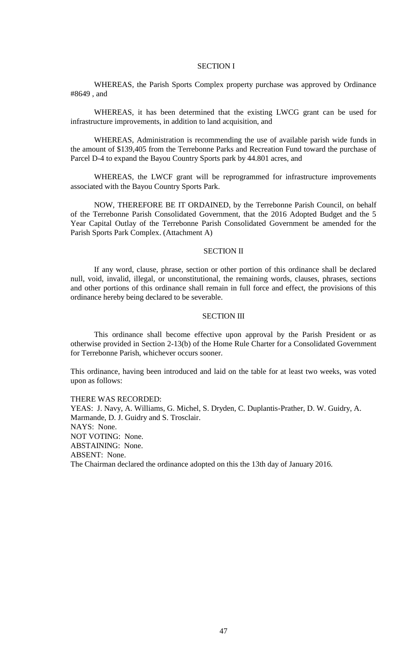### SECTION I

WHEREAS, the Parish Sports Complex property purchase was approved by Ordinance #8649 , and

WHEREAS, it has been determined that the existing LWCG grant can be used for infrastructure improvements, in addition to land acquisition, and

WHEREAS, Administration is recommending the use of available parish wide funds in the amount of \$139,405 from the Terrebonne Parks and Recreation Fund toward the purchase of Parcel D-4 to expand the Bayou Country Sports park by 44.801 acres, and

WHEREAS, the LWCF grant will be reprogrammed for infrastructure improvements associated with the Bayou Country Sports Park.

NOW, THEREFORE BE IT ORDAINED, by the Terrebonne Parish Council, on behalf of the Terrebonne Parish Consolidated Government, that the 2016 Adopted Budget and the 5 Year Capital Outlay of the Terrebonne Parish Consolidated Government be amended for the Parish Sports Park Complex. (Attachment A)

### SECTION II

If any word, clause, phrase, section or other portion of this ordinance shall be declared null, void, invalid, illegal, or unconstitutional, the remaining words, clauses, phrases, sections and other portions of this ordinance shall remain in full force and effect, the provisions of this ordinance hereby being declared to be severable.

#### SECTION III

This ordinance shall become effective upon approval by the Parish President or as otherwise provided in Section 2-13(b) of the Home Rule Charter for a Consolidated Government for Terrebonne Parish, whichever occurs sooner.

This ordinance, having been introduced and laid on the table for at least two weeks, was voted upon as follows:

#### THERE WAS RECORDED:

YEAS: J. Navy, A. Williams, G. Michel, S. Dryden, C. Duplantis-Prather, D. W. Guidry, A. Marmande, D. J. Guidry and S. Trosclair. NAYS: None. NOT VOTING: None. ABSTAINING: None. ABSENT: None. The Chairman declared the ordinance adopted on this the 13th day of January 2016.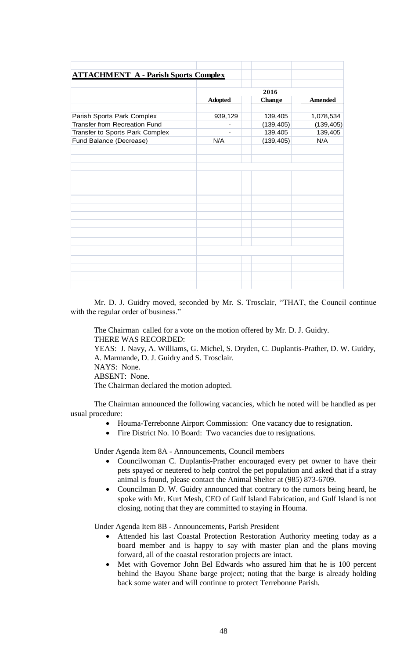| <b>ATTACHMENT A - Parish Sports Complex</b> |                |               |                |  |
|---------------------------------------------|----------------|---------------|----------------|--|
|                                             |                |               |                |  |
|                                             |                | 2016          |                |  |
|                                             | <b>Adopted</b> | <b>Change</b> | <b>Amended</b> |  |
| Parish Sports Park Complex                  | 939,129        | 139,405       | 1,078,534      |  |
| Transfer from Recreation Fund               |                | (139, 405)    | (139, 405)     |  |
| Transfer to Sports Park Complex             |                | 139,405       | 139,405        |  |
| Fund Balance (Decrease)                     | N/A            | (139, 405)    | N/A            |  |
|                                             |                |               |                |  |
|                                             |                |               |                |  |
|                                             |                |               |                |  |
|                                             |                |               |                |  |
|                                             |                |               |                |  |
|                                             |                |               |                |  |
|                                             |                |               |                |  |
|                                             |                |               |                |  |
|                                             |                |               |                |  |
|                                             |                |               |                |  |
|                                             |                |               |                |  |
|                                             |                |               |                |  |
|                                             |                |               |                |  |
|                                             |                |               |                |  |
|                                             |                |               |                |  |
|                                             |                |               |                |  |
|                                             |                |               |                |  |

Mr. D. J. Guidry moved, seconded by Mr. S. Trosclair, "THAT, the Council continue with the regular order of business."

The Chairman called for a vote on the motion offered by Mr. D. J. Guidry. THERE WAS RECORDED: YEAS: J. Navy, A. Williams, G. Michel, S. Dryden, C. Duplantis-Prather, D. W. Guidry, A. Marmande, D. J. Guidry and S. Trosclair. NAYS: None. ABSENT: None. The Chairman declared the motion adopted.

The Chairman announced the following vacancies, which he noted will be handled as per usual procedure:

- Houma-Terrebonne Airport Commission: One vacancy due to resignation.
- Fire District No. 10 Board: Two vacancies due to resignations.

Under Agenda Item 8A - Announcements, Council members

- Councilwoman C. Duplantis-Prather encouraged every pet owner to have their pets spayed or neutered to help control the pet population and asked that if a stray animal is found, please contact the Animal Shelter at (985) 873-6709.
- Councilman D. W. Guidry announced that contrary to the rumors being heard, he spoke with Mr. Kurt Mesh, CEO of Gulf Island Fabrication, and Gulf Island is not closing, noting that they are committed to staying in Houma.

Under Agenda Item 8B - Announcements, Parish President

- Attended his last Coastal Protection Restoration Authority meeting today as a board member and is happy to say with master plan and the plans moving forward, all of the coastal restoration projects are intact.
- Met with Governor John Bel Edwards who assured him that he is 100 percent behind the Bayou Shane barge project; noting that the barge is already holding back some water and will continue to protect Terrebonne Parish.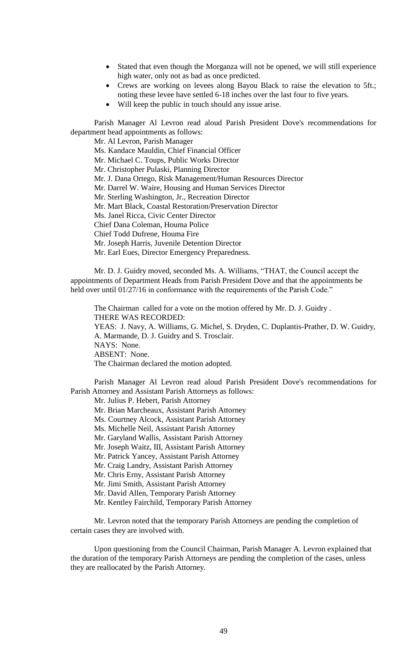- Stated that even though the Morganza will not be opened, we will still experience high water, only not as bad as once predicted.
- Crews are working on levees along Bayou Black to raise the elevation to 5ft.; noting these levee have settled 6-18 inches over the last four to five years.
- Will keep the public in touch should any issue arise.

Parish Manager Al Levron read aloud Parish President Dove's recommendations for department head appointments as follows:

Mr. Al Levron, Parish Manager Ms. Kandace Mauldin, Chief Financial Officer Mr. Michael C. Toups, Public Works Director Mr. Christopher Pulaski, Planning Director Mr. J. Dana Ortego, Risk Management/Human Resources Director Mr. Darrel W. Waire, Housing and Human Services Director Mr. Sterling Washington, Jr., Recreation Director Mr. Mart Black, Coastal Restoration/Preservation Director Ms. Janel Ricca, Civic Center Director Chief Dana Coleman, Houma Police Chief Todd Dufrene, Houma Fire Mr. Joseph Harris, Juvenile Detention Director Mr. Earl Eues, Director Emergency Preparedness.

Mr. D. J. Guidry moved, seconded Ms. A. Williams, "THAT, the Council accept the appointments of Department Heads from Parish President Dove and that the appointments be held over until 01/27/16 in conformance with the requirements of the Parish Code."

The Chairman called for a vote on the motion offered by Mr. D. J. Guidry . THERE WAS RECORDED: YEAS: J. Navy, A. Williams, G. Michel, S. Dryden, C. Duplantis-Prather, D. W. Guidry, A. Marmande, D. J. Guidry and S. Trosclair. NAYS: None. ABSENT: None. The Chairman declared the motion adopted.

Parish Manager Al Levron read aloud Parish President Dove's recommendations for Parish Attorney and Assistant Parish Attorneys as follows:

Mr. Julius P. Hebert, Parish Attorney

Mr. Brian Marcheaux, Assistant Parish Attorney

Ms. Courtney Alcock, Assistant Parish Attorney

Ms. Michelle Neil, Assistant Parish Attorney

Mr. Garyland Wallis, Assistant Parish Attorney

Mr. Joseph Waitz, III, Assistant Parish Attorney

Mr. Patrick Yancey, Assistant Parish Attorney

Mr. Craig Landry, Assistant Parish Attorney

Mr. Chris Erny, Assistant Parish Attorney

Mr. Jimi Smith, Assistant Parish Attorney

Mr. David Allen, Temporary Parish Attorney

Mr. Kentley Fairchild, Temporary Parish Attorney

Mr. Levron noted that the temporary Parish Attorneys are pending the completion of certain cases they are involved with.

Upon questioning from the Council Chairman, Parish Manager A. Levron explained that the duration of the temporary Parish Attorneys are pending the completion of the cases, unless they are reallocated by the Parish Attorney.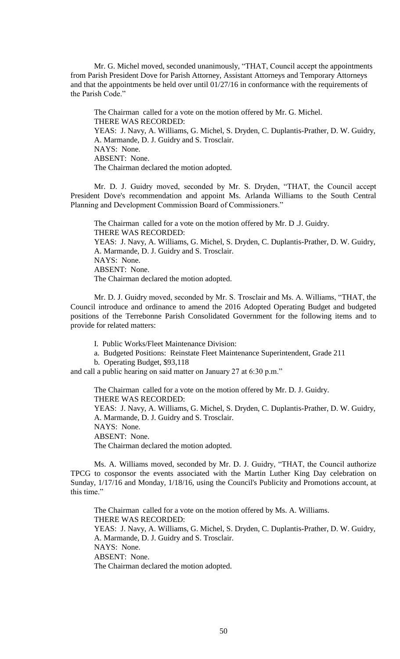Mr. G. Michel moved, seconded unanimously, "THAT, Council accept the appointments from Parish President Dove for Parish Attorney, Assistant Attorneys and Temporary Attorneys and that the appointments be held over until 01/27/16 in conformance with the requirements of the Parish Code."

The Chairman called for a vote on the motion offered by Mr. G. Michel. THERE WAS RECORDED: YEAS: J. Navy, A. Williams, G. Michel, S. Dryden, C. Duplantis-Prather, D. W. Guidry, A. Marmande, D. J. Guidry and S. Trosclair. NAYS: None. ABSENT: None. The Chairman declared the motion adopted.

Mr. D. J. Guidry moved, seconded by Mr. S. Dryden, "THAT, the Council accept President Dove's recommendation and appoint Ms. Arlanda Williams to the South Central Planning and Development Commission Board of Commissioners."

The Chairman called for a vote on the motion offered by Mr. D .J. Guidry. THERE WAS RECORDED: YEAS: J. Navy, A. Williams, G. Michel, S. Dryden, C. Duplantis-Prather, D. W. Guidry, A. Marmande, D. J. Guidry and S. Trosclair. NAYS: None. ABSENT: None. The Chairman declared the motion adopted.

Mr. D. J. Guidry moved, seconded by Mr. S. Trosclair and Ms. A. Williams, "THAT, the Council introduce and ordinance to amend the 2016 Adopted Operating Budget and budgeted positions of the Terrebonne Parish Consolidated Government for the following items and to provide for related matters:

I. Public Works/Fleet Maintenance Division:

- a. Budgeted Positions: Reinstate Fleet Maintenance Superintendent, Grade 211
- b. Operating Budget, \$93,118

and call a public hearing on said matter on January 27 at 6:30 p.m."

The Chairman called for a vote on the motion offered by Mr. D. J. Guidry. THERE WAS RECORDED: YEAS: J. Navy, A. Williams, G. Michel, S. Dryden, C. Duplantis-Prather, D. W. Guidry, A. Marmande, D. J. Guidry and S. Trosclair. NAYS: None. ABSENT: None. The Chairman declared the motion adopted.

Ms. A. Williams moved, seconded by Mr. D. J. Guidry, "THAT, the Council authorize TPCG to cosponsor the events associated with the Martin Luther King Day celebration on Sunday, 1/17/16 and Monday, 1/18/16, using the Council's Publicity and Promotions account, at this time."

The Chairman called for a vote on the motion offered by Ms. A. Williams. THERE WAS RECORDED: YEAS: J. Navy, A. Williams, G. Michel, S. Dryden, C. Duplantis-Prather, D. W. Guidry, A. Marmande, D. J. Guidry and S. Trosclair. NAYS: None. ABSENT: None. The Chairman declared the motion adopted.